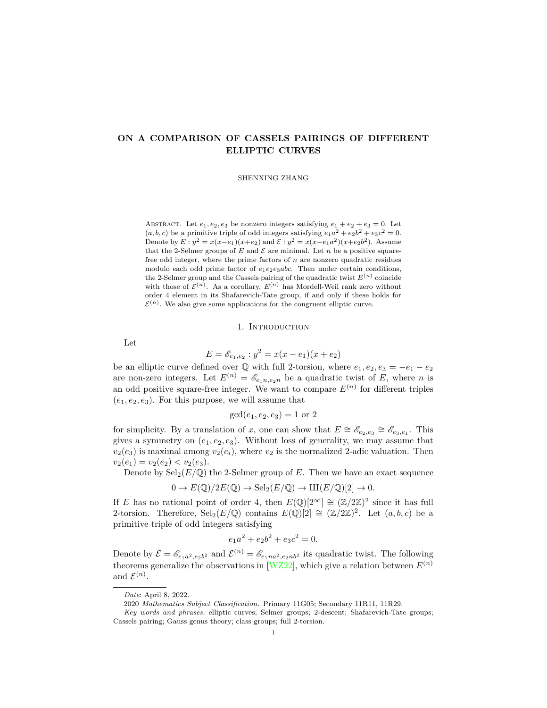# **ON A COMPARISON OF CASSELS PAIRINGS OF DIFFERENT ELLIPTIC CURVES**

SHENXING ZHANG

ABSTRACT. Let  $e_1, e_2, e_3$  be nonzero integers satisfying  $e_1 + e_2 + e_3 = 0$ . Let  $(a, b, c)$  be a primitive triple of odd integers satisfying  $e_1a^2 + e_2b^2 + e_3c^2 = 0$ . Denote by  $E: y^2 = x(x-e_1)(x+e_2)$  and  $\mathcal{E}: y^2 = x(x-e_1a^2)(x+e_2b^2)$ . Assume that the 2-Selmer groups of  $E$  and  $\mathcal E$  are minimal. Let  $n$  be a positive squarefree odd integer, where the prime factors of *n* are nonzero quadratic residues modulo each odd prime factor of  $e_1e_2e_3abc$ . Then under certain conditions, the 2-Selmer group and the Cassels pairing of the quadratic twist  $E^{(n)}$  coincide with those of  $\mathcal{E}^{(n)}$ . As a corollary,  $E^{(n)}$  has Mordell-Weil rank zero without order 4 element in its Shafarevich-Tate group, if and only if these holds for  $\mathcal{E}^{(n)}$ . We also give some applications for the congruent elliptic curve.

### 1. Introduction

Let

$$
E = \mathscr{E}_{e_1, e_2} : y^2 = x(x - e_1)(x + e_2)
$$

be an elliptic curve defined over  $\mathbb{Q}$  with full 2-torsion, where  $e_1, e_2, e_3 = -e_1 - e_2$ are non-zero integers. Let  $E^{(n)} = \mathscr{E}_{e_1 n, e_2 n}$  be a quadratic twist of *E*, where *n* is an odd positive square-free integer. We want to compare  $E^{(n)}$  for different triples  $(e_1, e_2, e_3)$ . For this purpose, we will assume that

$$
gcd(e_1, e_2, e_3) = 1
$$
 or 2

for simplicity. By a translation of *x*, one can show that  $E \cong \mathscr{E}_{e_2,e_3} \cong \mathscr{E}_{e_3,e_1}$ . This gives a symmetry on  $(e_1, e_2, e_3)$ . Without loss of generality, we may assume that  $v_2(e_3)$  is maximal among  $v_2(e_i)$ , where  $v_2$  is the normalized 2-adic valuation. Then  $v_2(e_1) = v_2(e_2) < v_2(e_3).$ 

Denote by  $\text{Sel}_2(E/\mathbb{Q})$  the 2-Selmer group of *E*. Then we have an exact sequence

$$
0 \to E(\mathbb{Q})/2E(\mathbb{Q}) \to \mathrm{Sel}_2(E/\mathbb{Q}) \to \mathrm{III}(E/\mathbb{Q})[2] \to 0.
$$

If *E* has no rational point of order 4, then  $E(\mathbb{Q})[2^{\infty}] \cong (\mathbb{Z}/2\mathbb{Z})^2$  since it has full 2-torsion. Therefore,  $\text{Sel}_2(E/\mathbb{Q})$  contains  $E(\mathbb{Q})[2] \cong (\mathbb{Z}/2\mathbb{Z})^2$ . Let  $(a, b, c)$  be a primitive triple of odd integers satisfying

$$
e_1a^2 + e_2b^2 + e_3c^2 = 0.
$$

Denote by  $\mathcal{E} = \mathcal{E}_{e_1a^2,e_2b^2}$  and  $\mathcal{E}^{(n)} = \mathcal{E}_{e_1na^2,e_2nb^2}$  its quadratic twist. The following theorems generalize the observations in [\[WZ22\]](#page-19-0), which give a relation between  $E^{(n)}$ and  $\mathcal{E}^{(n)}$ .

*Date*: April 8, 2022.

<sup>2020</sup> *Mathematics Subject Classification.* Primary 11G05; Secondary 11R11, 11R29.

*Key words and phrases.* elliptic curves; Selmer groups; 2-descent; Shafarevich-Tate groups; Cassels pairing; Gauss genus theory; class groups; full 2-torsion.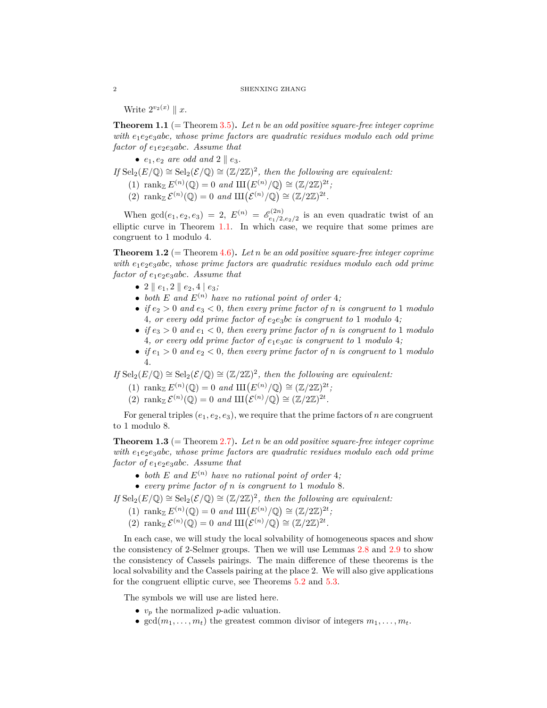Write  $2^{v_2(x)} \parallel x$ .

<span id="page-1-0"></span>**Theorem 1.1** (= Theorem [3.5\)](#page-10-0)**.** *Let n be an odd positive square-free integer coprime with e*1*e*2*e*3*abc, whose prime factors are quadratic residues modulo each odd prime factor of e*1*e*2*e*3*abc. Assume that*

•  $e_1, e_2$  *are odd and*  $2 \parallel e_3$ *.* 

*If*  $\text{Sel}_2(E/\mathbb{Q}) \cong \text{Sel}_2(\mathcal{E}/\mathbb{Q}) \cong (\mathbb{Z}/2\mathbb{Z})^2$ , then the following are equivalent:

- (1)  $\text{rank}_{\mathbb{Z}} E^{(n)}(\mathbb{Q}) = 0 \text{ and } \text{III}(E^{(n)}/\mathbb{Q}) \cong (\mathbb{Z}/2\mathbb{Z})^{2t}$ ;
- (2) rank  $\mathcal{E}^{(n)}(\mathbb{Q}) = 0$  and  $\mathop{\mathrm{III}}\nolimits(\mathcal{E}^{(n)}/\mathbb{Q}) \cong (\mathbb{Z}/2\mathbb{Z})^{2t}$ .

When  $\gcd(e_1, e_2, e_3) = 2$ ,  $E^{(n)} = \mathscr{E}^{(2n)}_{e_1/2}$  $e_1^{(2n)}$  is an even quadratic twist of an elliptic curve in Theorem [1.1.](#page-1-0) In which case, we require that some primes are congruent to 1 modulo 4.

<span id="page-1-1"></span>**Theorem 1.2** (= Theorem [4.6\)](#page-15-0)**.** *Let n be an odd positive square-free integer coprime with e*1*e*2*e*3*abc, whose prime factors are quadratic residues modulo each odd prime factor of e*1*e*2*e*3*abc. Assume that*

- 2  $\|e_1, 2\|e_2, 4\|e_3;$
- *both*  $E$  *and*  $E^{(n)}$  *have no rational point of order* 4*;*
- *if*  $e_2 > 0$  *and*  $e_3 < 0$ *, then every prime factor of n is congruent to* 1 *modulo* 4, or every odd prime factor of  $e_2e_3bc$  *is congruent to* 1 *modulo* 4*;*
- *if*  $e_3 > 0$  *and*  $e_1 < 0$ *, then every prime factor of n is congruent to* 1 *modulo* 4*, or every odd prime factor of e*1*e*3*ac is congruent to* 1 *modulo* 4*;*
- *if*  $e_1 > 0$  *and*  $e_2 < 0$ *, then every prime factor of n is congruent to* 1 *modulo* 4*.*

*If* Sel<sub>2</sub>( $E/\mathbb{Q}$ )  $\cong$  Sel<sub>2</sub>( $\mathcal{E}/\mathbb{Q}$ )  $\cong$  ( $\mathbb{Z}/2\mathbb{Z}$ )<sup>2</sup>, then the following are equivalent:

- (1)  $\text{rank}_{\mathbb{Z}} E^{(n)}(\mathbb{Q}) = 0 \text{ and } \text{III}(E^{(n)}/\mathbb{Q}) \cong (\mathbb{Z}/2\mathbb{Z})^{2t}$ ;
- (2) rank  $\mathcal{E}^{(n)}(\mathbb{Q}) = 0$  and  $\text{III}(\mathcal{E}^{(n)}/\mathbb{Q}) \cong (\mathbb{Z}/2\mathbb{Z})^{2t}$ .

For general triples  $(e_1, e_2, e_3)$ , we require that the prime factors of *n* are congruent to 1 modulo 8.

**Theorem 1.3** (= Theorem [2.7\)](#page-5-0). Let *n* be an odd positive square-free integer coprime *with e*1*e*2*e*3*abc, whose prime factors are quadratic residues modulo each odd prime factor of e*1*e*2*e*3*abc. Assume that*

- both  $E$  and  $E^{(n)}$  have no rational point of order 4*;*
- *• every prime factor of n is congruent to* 1 *modulo* 8*.*

*If* Sel<sub>2</sub>( $E/\mathbb{Q}$ )  $\cong$  Sel<sub>2</sub>( $\mathcal{E}/\mathbb{Q}$ )  $\cong$  ( $\mathbb{Z}/2\mathbb{Z}$ )<sup>2</sup>, then the following are equivalent:

- (1)  $\text{rank}_{\mathbb{Z}} E^{(n)}(\mathbb{Q}) = 0 \text{ and } \text{III}(E^{(n)}/\mathbb{Q}) \cong (\mathbb{Z}/2\mathbb{Z})^{2t}$ ;
- (2) rank  $\mathcal{E}^{(n)}(\mathbb{Q}) = 0$  and  $\mathop{\mathrm{III}}\nolimits(\mathcal{E}^{(n)}/\mathbb{Q}) \cong (\mathbb{Z}/2\mathbb{Z})^{2t}$ .

In each case, we will study the local solvability of homogeneous spaces and show the consistency of 2-Selmer groups. Then we will use Lemmas [2.8](#page-5-1) and [2.9](#page-6-0) to show the consistency of Cassels pairings. The main difference of these theorems is the local solvability and the Cassels pairing at the place 2. We will also give applications for the congruent elliptic curve, see Theorems [5.2](#page-17-0) and [5.3.](#page-17-1)

The symbols we will use are listed here.

- *• v<sup>p</sup>* the normalized *p*-adic valuation.
- $gcd(m_1, \ldots, m_t)$  the greatest common divisor of integers  $m_1, \ldots, m_t$ .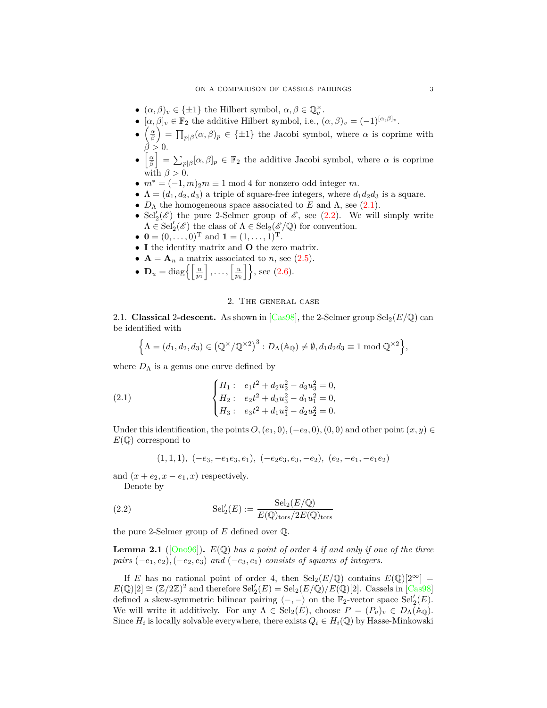- $(\alpha, \beta)_v \in {\{\pm 1\}}$  the Hilbert symbol,  $\alpha, \beta \in \mathbb{Q}_v^\times$ .
- $[\alpha, \beta]_v \in \mathbb{F}_2$  the additive Hilbert symbol, i.e.,  $(\alpha, \beta)_v = (-1)^{[\alpha, \beta]_v}$ .
- *• α β*  $\mathcal{L} = \prod_{p | \beta} (\alpha, \beta)_p \in \{\pm 1\}$  the Jacobi symbol, where  $\alpha$  is coprime with  $\beta > 0$ .
- *•* h *α β*  $\left[\right] = \sum_{p|\beta} [\alpha, \beta]_p \in \mathbb{F}_2$  the additive Jacobi symbol, where  $\alpha$  is coprime with  $\beta > 0$ .
- $m^* = (-1, m)_2 m \equiv 1 \mod 4$  for nonzero odd integer *m*.
- $\Lambda = (d_1, d_2, d_3)$  a triple of square-free integers, where  $d_1 d_2 d_3$  is a square.
- $D_{\Lambda}$  the homogeneous space associated to *E* and  $\Lambda$ , see ([2.1](#page-2-0)).
- Sel<sup>'</sup><sub>2</sub>( $\mathscr{E}$ ) the pure 2-Selmer group of  $\mathscr{E}$ , see ([2.2\)](#page-2-1). We will simply write  $\Lambda \in \text{Sel}'_2(\mathscr{E})$  the class of  $\Lambda \in \text{Sel}_2(\mathscr{E}/\mathbb{Q})$  for convention.
- $\mathbf{0} = (0, \ldots, 0)^{\mathrm{T}}$  and  $\mathbf{1} = (1, \ldots, 1)^{\mathrm{T}}$ .
- *•* **I** the identity matrix and **O** the zero matrix.
- $\mathbf{A} = \mathbf{A}_n$  a matrix associated to *n*, see [\(2.5\)](#page-4-0).
- $\mathbf{D}_u = \text{diag}\left\{\left[\frac{u}{p_1}\right]$  $\left[\, \ldots, \left\lceil \frac{u}{p_k} \right\rceil \right\}$ , see [\(2.6\)](#page-4-1).

## 2. The general case

2.1.**Classical** 2-descent. As shown in  $\left[\text{Cas}98\right]$ , the 2-Selmer group  $\text{Sel}_2(E/\mathbb{Q})$  can be identified with

$$
\left\{\Lambda = (d_1, d_2, d_3) \in \left(\mathbb{Q}^\times/\mathbb{Q}^{\times 2}\right)^3 : D_\Lambda(\mathbb{A}_{\mathbb{Q}}) \neq \emptyset, d_1 d_2 d_3 \equiv 1 \bmod \mathbb{Q}^{\times 2} \right\},\
$$

where  $D_{\Lambda}$  is a genus one curve defined by

(2.1) 
$$
\begin{cases} H_1: & e_1t^2 + d_2u_2^2 - d_3u_3^2 = 0, \\ H_2: & e_2t^2 + d_3u_3^2 - d_1u_1^2 = 0, \\ H_3: & e_3t^2 + d_1u_1^2 - d_2u_2^2 = 0. \end{cases}
$$

Under this identification, the points  $O$ ,  $(e_1, 0)$ ,  $(-e_2, 0)$ ,  $(0, 0)$  and other point  $(x, y) \in$ *E*(Q) correspond to

<span id="page-2-1"></span><span id="page-2-0"></span>
$$
(1,1,1), (-e_3,-e_1e_3,e_1), (-e_2e_3,e_3,-e_2), (e_2,-e_1,-e_1e_2)
$$

and  $(x + e_2, x - e_1, x)$  respectively.

Denote by

(2.2) 
$$
Sel'_{2}(E) := \frac{Sel_{2}(E/\mathbb{Q})}{E(\mathbb{Q})_{\text{tors}}/2E(\mathbb{Q})_{\text{tors}}}
$$

the pure 2-Selmer group of *E* defined over Q.

<span id="page-2-2"></span>**Lemma 2.1** ( $[Ono96]$  $[Ono96]$  $[Ono96]$ ).  $E(\mathbb{Q})$  has a point of order 4 if and only if one of the three *pairs* (*−e*1*, e*2)*,*(*−e*2*, e*3) *and* (*−e*3*, e*1) *consists of squares of integers.*

If *E* has no rational point of order 4, then  $\text{Sel}_2(E/\mathbb{Q})$  contains  $E(\mathbb{Q})[2^\infty] =$  $E(\mathbb{Q})[2] \cong (\mathbb{Z}/2\mathbb{Z})^2$  and therefore  $\text{Sel}'_2(E) = \text{Sel}_2(E/\mathbb{Q})/E(\mathbb{Q})[2]$ . Cassels in [\[Cas98\]](#page-19-1) defined a skew-symmetric bilinear pairing  $\langle -, - \rangle$  on the  $\mathbb{F}_2$ -vector space Sel<sup>'</sup><sub>2</sub> $(E)$ . We will write it additively. For any  $\Lambda \in \text{Sel}_2(E)$ , choose  $P = (P_v)_v \in D_\Lambda(\mathbb{A}_\mathbb{Q})$ . Since  $H_i$  is locally solvable everywhere, there exists  $Q_i \in H_i(\mathbb{Q})$  by Hasse-Minkowski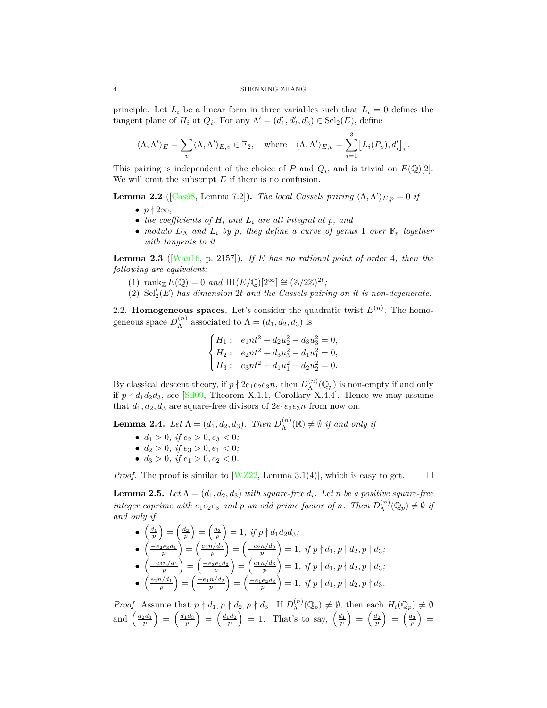principle. Let  $L_i$  be a linear form in three variables such that  $L_i = 0$  defines the tangent plane of  $H_i$  at  $Q_i$ . For any  $\Lambda' = (d'_1, d'_2, d'_3) \in \text{Sel}_2(E)$ , define

$$
\langle \Lambda, \Lambda' \rangle_E = \sum_v \langle \Lambda, \Lambda' \rangle_{E,v} \in \mathbb{F}_2, \quad \text{where} \quad \langle \Lambda, \Lambda' \rangle_{E,v} = \sum_{i=1}^3 \big[ L_i(P_p), d_i' \big]_v.
$$

This pairing is independent of the choice of *P* and  $Q_i$ , and is trivial on  $E(\mathbb{Q})[2]$ . We will omit the subscript *E* if there is no confusion.

<span id="page-3-2"></span>**Lemma 2.2** ([\[Cas98](#page-19-1), Lemma 7.2]). *The local Cassels pairing*  $\langle \Lambda, \Lambda' \rangle_{E,p} = 0$  *if* 

- $p \nmid 2\infty$ ,
- *• the coefficients of H<sup>i</sup> and L<sup>i</sup> are all integral at p, and*
- *• modulo D*<sup>Λ</sup> *and L<sup>i</sup> by p, they define a curve of genus* 1 *over* F*<sup>p</sup> together with tangents to it.*

<span id="page-3-3"></span>**Lemma 2.3** ([[Wan16,](#page-19-3) p. 2157])**.** *If E has no rational point of order* 4*, then the following are equivalent:*

- (1) rank<sub>Z</sub>  $E(\mathbb{Q}) = 0$  and  $\text{III}(E/\mathbb{Q})[2^{\infty}] \cong (\mathbb{Z}/2\mathbb{Z})^{2t}$ ;
- (2) Sel*′* 2 (*E*) *has dimension* 2*t and the Cassels pairing on it is non-degenerate.*

2.2. **Homogeneous spaces.** Let's consider the quadratic twist  $E^{(n)}$ . The homogeneous space  $D_{\Lambda}^{(n)}$  $\Lambda^{(n)}$  associated to  $\Lambda = (d_1, d_2, d_3)$  is

$$
\begin{cases} H_1: & e_1nt^2 + d_2u_2^2 - d_3u_3^2 = 0, \\ H_2: & e_2nt^2 + d_3u_3^2 - d_1u_1^2 = 0, \\ H_3: & e_3nt^2 + d_1u_1^2 - d_2u_2^2 = 0. \end{cases}
$$

By classical descent theory, if  $p \nmid 2e_1e_2e_3n$ , then  $D_{\Lambda}^{(n)}$  $\Lambda^{(n)}(\mathbb{Q}_p)$  is non-empty if and only if  $p \nmid d_1 d_2 d_3$ , see [[Sil09,](#page-19-4) Theorem X.1.1, Corollary X.4.4]. Hence we may assume that  $d_1, d_2, d_3$  are square-free divisors of  $2e_1e_2e_3n$  from now on.

<span id="page-3-0"></span>**Lemma 2.4.** *Let*  $\Lambda = (d_1, d_2, d_3)$ *. Then*  $D_{\Lambda}^{(n)}$  $\Lambda^{(n)}(\mathbb{R}) \neq \emptyset$  *if and only if* 

- $d_1 > 0$ *, if*  $e_2 > 0$ ,  $e_3 < 0$ *;*
- $d_2 > 0$ *, if*  $e_3 > 0$ ,  $e_1 < 0$ *;*
- $d_3 > 0$ *, if*  $e_1 > 0$ ,  $e_2 < 0$ .

*Proof.* The proof is similar to  $[WZ22, \text{ Lemma } 3.1(4)]$ , which is easy to get.  $\square$ 

<span id="page-3-1"></span>**Lemma 2.5.** *Let*  $\Lambda = (d_1, d_2, d_3)$  *with square-free*  $d_i$ *. Let n be a positive square-free integer coprime with*  $e_1e_2e_3$  *and p an odd prime factor of n. Then*  $D_{\Lambda}^{(n)}$  $\Lambda^{(n)}(\mathbb{Q}_p) \neq \emptyset$  *if and only if*

$$
\begin{array}{ll}\n\bullet \left(\frac{d_1}{p}\right) = \left(\frac{d_2}{p}\right) = \left(\frac{d_3}{p}\right) = 1, \; \text{if } p \nmid d_1 d_2 d_3; \\
\bullet \left(\frac{-e_2 e_3 d_1}{p}\right) = \left(\frac{e_3 n/d_2}{p}\right) = \left(\frac{-e_2 n/d_3}{p}\right) = 1, \; \text{if } p \nmid d_1, p \mid d_2, p \mid d_3; \\
\bullet \left(\frac{-e_3 n/d_1}{p}\right) = \left(\frac{-e_3 e_1 d_2}{p}\right) = \left(\frac{e_1 n/d_3}{p}\right) = 1, \; \text{if } p \mid d_1, p \nmid d_2, p \mid d_3; \\
\bullet \left(\frac{e_2 n/d_1}{p}\right) = \left(\frac{-e_1 n/d_2}{p}\right) = \left(\frac{-e_1 e_2 d_3}{p}\right) = 1, \; \text{if } p \mid d_1, p \mid d_2, p \nmid d_3.\n\end{array}
$$

*Proof.* Assume that  $p \nmid d_1, p \nmid d_2, p \nmid d_3$ . If  $D_{\Lambda}^{(n)}$  $\Lambda^{(n)}(\mathbb{Q}_p) \neq \emptyset$ , then each  $H_i(\mathbb{Q}_p) \neq \emptyset$ and  $\left(\frac{d_2 d_3}{p}\right)$  $\Big) = \Big(\frac{d_1 d_3}{p}\Big)$  $\Big) = \Big(\frac{d_1 d_2}{p}\Big)$  $= 1$ . That's to say,  $\left(\frac{d_1}{p}\right)$  $\Big) = \Big(\frac{d_2}{p}\Big)$  $\Big) = \Big(\frac{d_3}{p}\Big)$  $=$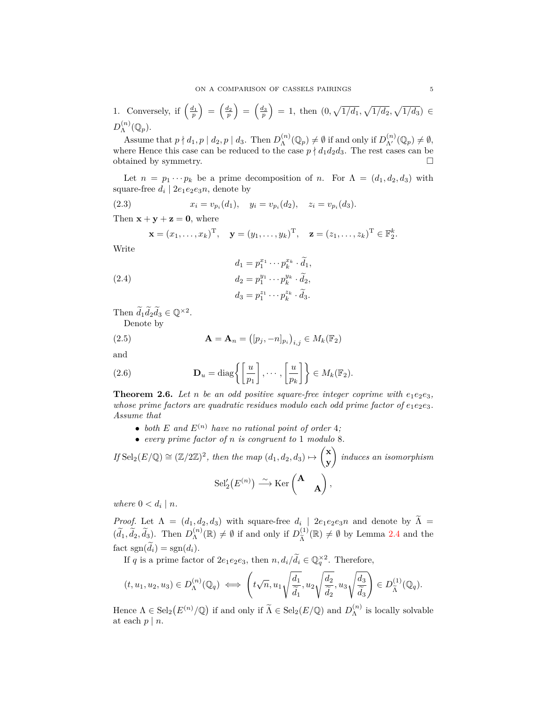1. Conversely, if 
$$
\left(\frac{d_1}{p}\right) = \left(\frac{d_2}{p}\right) = \left(\frac{d_3}{p}\right) = 1
$$
, then  $(0, \sqrt{1/d_1}, \sqrt{1/d_2}, \sqrt{1/d_3}) \in D_{\Lambda}^{(n)}(\mathbb{Q}_p)$ .

Assume that  $p \nmid d_1, p \mid d_2, p \mid d_3$ . Then  $D_{\Lambda}^{(n)}$  $\mathcal{L}_{\Lambda}^{(n)}(\mathbb{Q}_p) \neq \emptyset$  if and only if  $D_{\Lambda'}^{(n)}(\mathbb{Q}_p) \neq \emptyset$ , where Hence this case can be reduced to the case  $p \nmid d_1 d_2 d_3$ . The rest cases can be obtained by symmetry.

Let  $n = p_1 \cdots p_k$  be a prime decomposition of *n*. For  $\Lambda = (d_1, d_2, d_3)$  with square-free  $d_i | 2e_1e_2e_3n$ , denote by

(2.3) 
$$
x_i = v_{p_i}(d_1), \quad y_i = v_{p_i}(d_2), \quad z_i = v_{p_i}(d_3).
$$

Then  $\mathbf{x} + \mathbf{y} + \mathbf{z} = \mathbf{0}$ , where

<span id="page-4-3"></span>
$$
\mathbf{x} = (x_1, \dots, x_k)^{\mathrm{T}}, \quad \mathbf{y} = (y_1, \dots, y_k)^{\mathrm{T}}, \quad \mathbf{z} = (z_1, \dots, z_k)^{\mathrm{T}} \in \mathbb{F}_2^k.
$$

Write

<span id="page-4-4"></span>(2.4) 
$$
d_1 = p_1^{x_1} \cdots p_k^{x_k} \cdot \tilde{d}_1,
$$

$$
d_2 = p_1^{y_1} \cdots p_k^{y_k} \cdot \tilde{d}_2,
$$

$$
d_3 = p_1^{z_1} \cdots p_k^{z_k} \cdot \tilde{d}_3.
$$

Then  $\widetilde{d}_1 \widetilde{d}_2 \widetilde{d}_3 \in \mathbb{Q}^{\times 2}$ . Denote by

<span id="page-4-0"></span>

(2.5) 
$$
\mathbf{A} = \mathbf{A}_n = ( [p_j, -n]_{p_i} )_{i,j} \in M_k(\mathbb{F}_2)
$$

and

<span id="page-4-1"></span>(2.6) 
$$
\mathbf{D}_u = \text{diag}\left\{ \left[ \frac{u}{p_1} \right], \cdots, \left[ \frac{u}{p_k} \right] \right\} \in M_k(\mathbb{F}_2).
$$

<span id="page-4-2"></span>**Theorem 2.6.** Let *n* be an odd positive square-free integer coprime with  $e_1e_2e_3$ . *whose prime factors are quadratic residues modulo each odd prime factor of*  $e_1e_2e_3$ *. Assume that*

- both  $E$  and  $E^{(n)}$  have no rational point of order 4;
- *• every prime factor of n is congruent to* 1 *modulo* 8*.*

*If* Sel<sub>2</sub>( $E/\mathbb{Q}$ ) ≅ ( $\mathbb{Z}/2\mathbb{Z}$ )<sup>2</sup>, then the map ( $d_1, d_2, d_3$ )  $\mapsto$  $\sqrt{x}$ **y**  $\overline{ }$ *induces an isomorphism*  $\operatorname{Sel}'_2(E^{(n)}) \stackrel{\sim}{\longrightarrow} \operatorname{Ker} {\left({}}^{\mathbf{A}}$ **A**  $\overline{\phantom{0}}$ *,*

*where*  $0 < d_i \mid n$ *.* 

*Proof.* Let  $\Lambda = (d_1, d_2, d_3)$  with square-free  $d_i$  2*e*<sub>1</sub>*e*<sub>2</sub>*e*<sub>3</sub>*n* and denote by  $\Lambda =$  $(\widetilde{d}_1, \widetilde{d}_2, \widetilde{d}_3)$ . Then  $D_{\Lambda}^{(n)}$  $\mathcal{L}_{\Lambda}^{(n)}(\mathbb{R}) \neq \emptyset$  if and only if  $D_{\widetilde{\Lambda}}^{(1)}$  $\widetilde{A}^{(1)}(\mathbb{R}) \neq \emptyset$  by Lemma [2.4](#page-3-0) and the fact  $sgn(d_i) = sgn(d_i)$ .

If *q* is a prime factor of  $2e_1e_2e_3$ , then  $n, d_i/\tilde{d}_i \in \mathbb{Q}_q^{\times 2}$ . Therefore,

$$
(t,u_1,u_2,u_3)\in D^{(n)}_\Lambda(\mathbb{Q}_q) \iff \left(t\sqrt{n},u_1\sqrt{\frac{d_1}{\tilde{d}_1}},u_2\sqrt{\frac{d_2}{\tilde{d}_2}},u_3\sqrt{\frac{d_3}{\tilde{d}_3}}\right)\in D^{(1)}_{\tilde{\Lambda}}(\mathbb{Q}_q).
$$

Hence  $\Lambda \in \text{Sel}_2(E^{(n)}/\mathbb{Q})$  if and only if  $\widetilde{\Lambda} \in \text{Sel}_2(E/\mathbb{Q})$  and  $D_{\Lambda}^{(n)}$  $\Lambda^{(n)}$  is locally solvable at each  $p \mid n$ .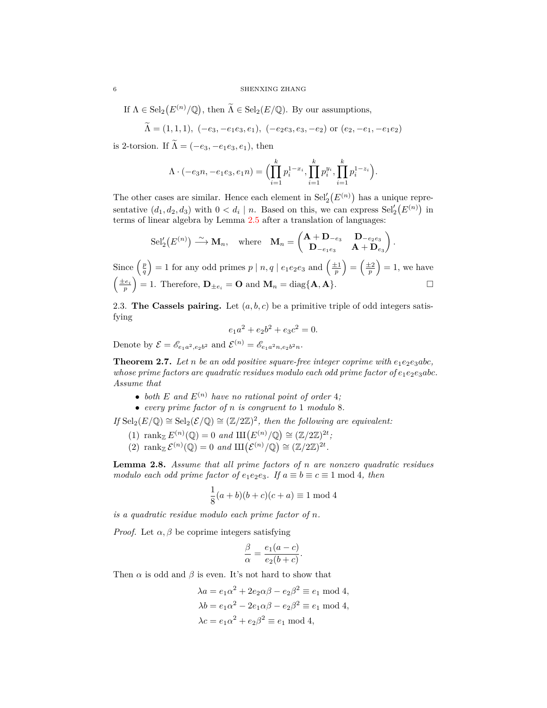If  $\Lambda \in \text{Sel}_2(E^{(n)}/\mathbb{Q})$ , then  $\widetilde{\Lambda} \in \text{Sel}_2(E/\mathbb{Q})$ . By our assumptions,

$$
\Lambda = (1, 1, 1), \ (-e_3, -e_1e_3, e_1), \ (-e_2e_3, e_3, -e_2) \text{ or } (e_2, -e_1, -e_1e_2)
$$

is 2-torsion. If  $\widetilde{\Lambda} = (-e_3, -e_1e_3, e_1)$ , then

$$
\Lambda \cdot (-e_3 n, -e_1 e_3, e_1 n) = \Big( \prod_{i=1}^k p_i^{1-x_i}, \prod_{i=1}^k p_i^{y_i}, \prod_{i=1}^k p_i^{1-z_i} \Big).
$$

The other cases are similar. Hence each element in  $\text{Sel}'_2(E^{(n)})$  has a unique representative  $(d_1, d_2, d_3)$  with  $0 < d_i \mid n$ . Based on this, we can express  $\text{Sel}'_2(E^{(n)})$  in terms of linear algebra by Lemma [2.5](#page-3-1) after a translation of languages:

$$
\mathrm{Sel}'_2(E^{(n)}) \xrightarrow{\sim} \mathbf{M}_n, \quad \text{where} \quad \mathbf{M}_n = \begin{pmatrix} \mathbf{A} + \mathbf{D}_{-e_3} & \mathbf{D}_{-e_2 e_3} \\ \mathbf{D}_{-e_1 e_3} & \mathbf{A} + \mathbf{D}_{e_3} \end{pmatrix}.
$$
  
Since  $\left(\frac{p}{q}\right) = 1$  for any odd primes  $p \mid n, q \mid e_1 e_2 e_3$  and  $\left(\frac{\pm 1}{p}\right) = \left(\frac{\pm 2}{p}\right) = 1$ , we have  $\left(\frac{\pm e_i}{p}\right) = 1$ . Therefore,  $\mathbf{D}_{\pm e_i} = \mathbf{O}$  and  $\mathbf{M}_n = \text{diag}\{\mathbf{A}, \mathbf{A}\}.$ 

2.3. **The Cassels pairing.** Let  $(a, b, c)$  be a primitive triple of odd integers satisfying

$$
e_1a^2 + e_2b^2 + e_3c^2 = 0.
$$

Denote by  $\mathcal{E} = \mathscr{E}_{e_1a^2,e_2b^2}$  and  $\mathcal{E}^{(n)} = \mathscr{E}_{e_1a^2n,e_2b^2n}$ .

<span id="page-5-0"></span>**Theorem 2.7.** Let *n* be an odd positive square-free integer coprime with  $e_1e_2e_3abc$ , *whose prime factors are quadratic residues modulo each odd prime factor of*  $e_1e_2e_3abc$ *. Assume that*

- *both*  $E$  *and*  $E^{(n)}$  *have no rational point of order* 4*;*
- *• every prime factor of n is congruent to* 1 *modulo* 8*.*

*If* Sel<sub>2</sub>( $E/\mathbb{Q}$ )  $\cong$  Sel<sub>2</sub>( $\mathcal{E}/\mathbb{Q}$ )  $\cong$  ( $\mathbb{Z}/2\mathbb{Z}$ )<sup>2</sup>, then the following are equivalent:

- (1)  $\text{rank}_{\mathbb{Z}} E^{(n)}(\mathbb{Q}) = 0 \text{ and } \text{III}(E^{(n)}/\mathbb{Q}) \cong (\mathbb{Z}/2\mathbb{Z})^{2t}$ ;
- (2) rank  $\mathcal{E}^{(n)}(\mathbb{Q}) = 0$  and  $\mathop{\mathrm{III}}\nolimits(\mathcal{E}^{(n)}/\mathbb{Q}) \cong (\mathbb{Z}/2\mathbb{Z})^{2t}$ .

<span id="page-5-1"></span>**Lemma 2.8.** *Assume that all prime factors of n are nonzero quadratic residues modulo each odd prime factor of*  $e_1e_2e_3$ *. If*  $a \equiv b \equiv c \equiv 1 \text{ mod } 4$ *, then* 

$$
\frac{1}{8}(a+b)(b+c)(c+a) \equiv 1 \bmod 4
$$

*is a quadratic residue modulo each prime factor of n.*

*Proof.* Let  $\alpha, \beta$  be coprime integers satisfying

$$
\frac{\beta}{\alpha} = \frac{e_1(a-c)}{e_2(b+c)}.
$$

Then  $\alpha$  is odd and  $\beta$  is even. It's not hard to show that

$$
\lambda a = e_1 \alpha^2 + 2e_2 \alpha \beta - e_2 \beta^2 \equiv e_1 \mod 4,
$$
  
\n
$$
\lambda b = e_1 \alpha^2 - 2e_1 \alpha \beta - e_2 \beta^2 \equiv e_1 \mod 4,
$$
  
\n
$$
\lambda c = e_1 \alpha^2 + e_2 \beta^2 \equiv e_1 \mod 4,
$$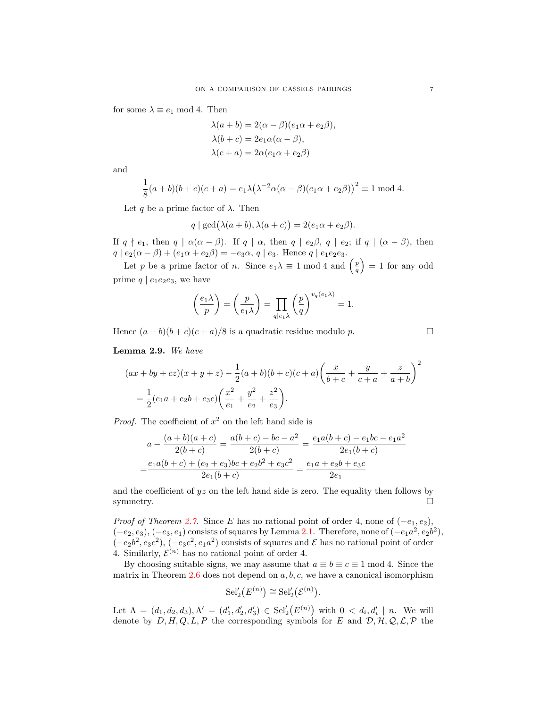for some  $\lambda \equiv e_1 \mod 4$ . Then

$$
\lambda(a+b) = 2(\alpha - \beta)(e_1\alpha + e_2\beta),
$$
  
\n
$$
\lambda(b+c) = 2e_1\alpha(\alpha - \beta),
$$
  
\n
$$
\lambda(c+a) = 2\alpha(e_1\alpha + e_2\beta)
$$

and

$$
\frac{1}{8}(a+b)(b+c)(c+a) = e_1\lambda(\lambda^{-2}\alpha(\alpha-\beta)(e_1\alpha+e_2\beta))^2 \equiv 1 \mod 4.
$$

Let *q* be a prime factor of  $\lambda$ . Then

$$
q \mid \gcd(\lambda(a+b), \lambda(a+c)) = 2(e_1\alpha + e_2\beta).
$$

If  $q \nmid e_1$ , then  $q \mid \alpha(\alpha - \beta)$ . If  $q \mid \alpha$ , then  $q \mid e_2\beta$ ,  $q \mid e_2$ ; if  $q \mid (\alpha - \beta)$ , then  $q | e_2(\alpha - \beta) + (e_1\alpha + e_2\beta) = -e_3\alpha, q | e_3$ . Hence  $q | e_1e_2e_3$ .

Let *p* be a prime factor of *n*. Since  $e_1\lambda \equiv 1 \mod 4$  and  $\left(\frac{p}{q}\right)$  $= 1$  for any odd prime  $q \mid e_1e_2e_3$ , we have

$$
\left(\frac{e_1\lambda}{p}\right) = \left(\frac{p}{e_1\lambda}\right) = \prod_{q|\epsilon_1\lambda} \left(\frac{p}{q}\right)^{v_q(e_1\lambda)} = 1.
$$

Hence  $(a + b)(b + c)(c + a)/8$  is a quadratic residue modulo *p*.

<span id="page-6-0"></span>**Lemma 2.9.** *We have*

$$
(ax + by + cz)(x + y + z) - \frac{1}{2}(a + b)(b + c)(c + a)\left(\frac{x}{b + c} + \frac{y}{c + a} + \frac{z}{a + b}\right)^2
$$
  
=  $\frac{1}{2}(e_1a + e_2b + e_3c)\left(\frac{x^2}{e_1} + \frac{y^2}{e_2} + \frac{z^2}{e_3}\right).$ 

*Proof.* The coefficient of  $x^2$  on the left hand side is

$$
a - \frac{(a+b)(a+c)}{2(b+c)} = \frac{a(b+c) - bc - a^2}{2(b+c)} = \frac{e_1a(b+c) - e_1bc - e_1a^2}{2e_1(b+c)}
$$

$$
= \frac{e_1a(b+c) + (e_2+e_3)bc + e_2b^2 + e_3c^2}{2e_1(b+c)} = \frac{e_1a + e_2b + e_3c}{2e_1}
$$

and the coefficient of  $yz$  on the left hand side is zero. The equality then follows by symmetry.  $\square$ 

*Proof of Theorem [2.7.](#page-5-0)* Since *E* has no rational point of order 4, none of  $(-e_1, e_2)$ ,  $(-e_2, e_3), (-e_3, e_1)$  consists of squares by Lemma [2.1](#page-2-2). Therefore, none of  $(-e_1a^2, e_2b^2)$ ,  $(-e_2b^2, e_3c^2), (-e_3c^2, e_1a^2)$  consists of squares and  $\mathcal E$  has no rational point of order 4. Similarly,  $\mathcal{E}^{(n)}$  has no rational point of order 4.

By choosing suitable signs, we may assume that  $a \equiv b \equiv c \equiv 1 \mod 4$ . Since the matrix in Theorem [2.6](#page-4-2) does not depend on *a, b, c*, we have a canonical isomorphism

$$
\mathrm{Sel}'_2(E^{(n)}) \cong \mathrm{Sel}'_2(\mathcal{E}^{(n)}).
$$

Let  $\Lambda = (d_1, d_2, d_3), \Lambda' = (d'_1, d'_2, d'_3) \in Sel'_2(E^{(n)})$  with  $0 < d_i, d'_i \mid n$ . We will denote by  $D, H, Q, L, P$  the corresponding symbols for *E* and  $D, H, Q, L, P$  the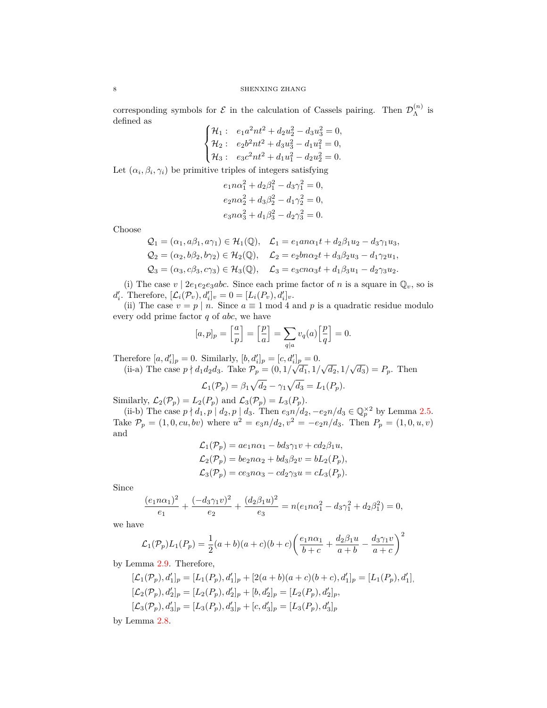### 8 SHENXING ZHANG

corresponding symbols for  $\mathcal E$  in the calculation of Cassels pairing. Then  $\mathcal D_{\Lambda}^{(n)}$  $\mathop \Lambda \limits^{(n)}$  is defined as  $\overline{ }$ 

$$
\begin{cases} \mathcal{H}_1: & e_1a^2nt^2 + d_2u_2^2 - d_3u_3^2 = 0, \\ \mathcal{H}_2: & e_2b^2nt^2 + d_3u_3^2 - d_1u_1^2 = 0, \\ \mathcal{H}_3: & e_3c^2nt^2 + d_1u_1^2 - d_2u_2^2 = 0. \end{cases}
$$

Let  $(\alpha_i, \beta_i, \gamma_i)$  be primitive triples of integers satisfying

$$
e_1 n \alpha_1^2 + d_2 \beta_1^2 - d_3 \gamma_1^2 = 0,
$$
  
\n
$$
e_2 n \alpha_2^2 + d_3 \beta_2^2 - d_1 \gamma_2^2 = 0,
$$
  
\n
$$
e_3 n \alpha_3^2 + d_1 \beta_3^2 - d_2 \gamma_3^2 = 0.
$$

Choose

$$
Q_1 = (\alpha_1, a\beta_1, a\gamma_1) \in \mathcal{H}_1(\mathbb{Q}), \quad \mathcal{L}_1 = e_1 a n \alpha_1 t + d_2 \beta_1 u_2 - d_3 \gamma_1 u_3,
$$
  
\n
$$
Q_2 = (\alpha_2, b\beta_2, b\gamma_2) \in \mathcal{H}_2(\mathbb{Q}), \quad \mathcal{L}_2 = e_2 b n \alpha_2 t + d_3 \beta_2 u_3 - d_1 \gamma_2 u_1,
$$
  
\n
$$
Q_3 = (\alpha_3, c\beta_3, c\gamma_3) \in \mathcal{H}_3(\mathbb{Q}), \quad \mathcal{L}_3 = e_3 c n \alpha_3 t + d_1 \beta_3 u_1 - d_2 \gamma_3 u_2.
$$

(i) The case  $v \mid 2e_1e_2e_3abc$ . Since each prime factor of *n* is a square in  $\mathbb{Q}_v$ , so is *d*<sup>′</sup><sub>*i*</sub>. Therefore,  $[\mathcal{L}_i(\mathcal{P}_v), d'_i]_v = 0 = [L_i(P_v), d'_i]_v$ .

(ii) The case  $v = p \mid n$ . Since  $a \equiv 1 \mod 4$  and p is a quadratic residue modulo every odd prime factor *q* of *abc*, we have

$$
[a,p]_p = \left[\frac{a}{p}\right] = \left[\frac{p}{a}\right] = \sum_{q|a} v_q(a)\left[\frac{p}{q}\right] = 0.
$$

Therefore  $[a, d'_i]_p = 0$ . Similarly,  $[b, d'_i]_p = [c, d'_i]_p = 0$ . (ii-a) The case  $p \nmid d_1 d_2 d_3$ . Take  $\mathcal{P}_p = (0, 1/\sqrt{d_1}, 1/\sqrt{d_2}, 1/\sqrt{d_3}) = P_p$ . Then

$$
\mathcal{L}_1(\mathcal{P}_p) = \beta_1 \sqrt{d_2} - \gamma_1 \sqrt{d_3} = L_1(\mathcal{P}_p).
$$

Similarly,  $\mathcal{L}_2(\mathcal{P}_p) = L_2(P_p)$  and  $\mathcal{L}_3(\mathcal{P}_p) = L_3(P_p)$ .

 $(iii-b)$  The case  $p \nmid d_1, p \mid d_2, p \mid d_3$ . Then  $e_3n/d_2, -e_2n/d_3 \in \mathbb{Q}_p^{\times 2}$  by Lemma [2.5.](#page-3-1) Take  $P_p = (1, 0, cu, bv)$  where  $u^2 = e_{3}n/d_2, v^2 = -e_{2}n/d_3$ . Then  $P_p = (1, 0, u, v)$ and

$$
\mathcal{L}_1(\mathcal{P}_p) = a e_1 n \alpha_1 - b d_3 \gamma_1 v + c d_2 \beta_1 u,
$$
  
\n
$$
\mathcal{L}_2(\mathcal{P}_p) = b e_2 n \alpha_2 + b d_3 \beta_2 v = b L_2(P_p),
$$
  
\n
$$
\mathcal{L}_3(\mathcal{P}_p) = c e_3 n \alpha_3 - c d_2 \gamma_3 u = c L_3(P_p).
$$

Since

$$
\frac{(e_1 n \alpha_1)^2}{e_1} + \frac{(-d_3 \gamma_1 v)^2}{e_2} + \frac{(d_2 \beta_1 u)^2}{e_3} = n(e_1 n \alpha_1^2 - d_3 \gamma_1^2 + d_2 \beta_1^2) = 0,
$$

we have

$$
\mathcal{L}_1(\mathcal{P}_p)L_1(P_p) = \frac{1}{2}(a+b)(a+c)(b+c)\left(\frac{e_1n\alpha_1}{b+c} + \frac{d_2\beta_1u}{a+b} - \frac{d_3\gamma_1v}{a+c}\right)^2
$$

by Lemma [2.9.](#page-6-0) Therefore,

$$
[\mathcal{L}_1(\mathcal{P}_p), d'_1]_p = [L_1(P_p), d'_1]_p + [2(a+b)(a+c)(b+c), d'_1]_p = [L_1(P_p), d'_1],
$$
  
\n
$$
[\mathcal{L}_2(\mathcal{P}_p), d'_2]_p = [L_2(P_p), d'_2]_p + [b, d'_2]_p = [L_2(P_p), d'_2]_p,
$$
  
\n
$$
[\mathcal{L}_3(\mathcal{P}_p), d'_3]_p = [L_3(P_p), d'_3]_p + [c, d'_3]_p = [L_3(P_p), d'_3]_p
$$

by Lemma [2.8.](#page-5-1)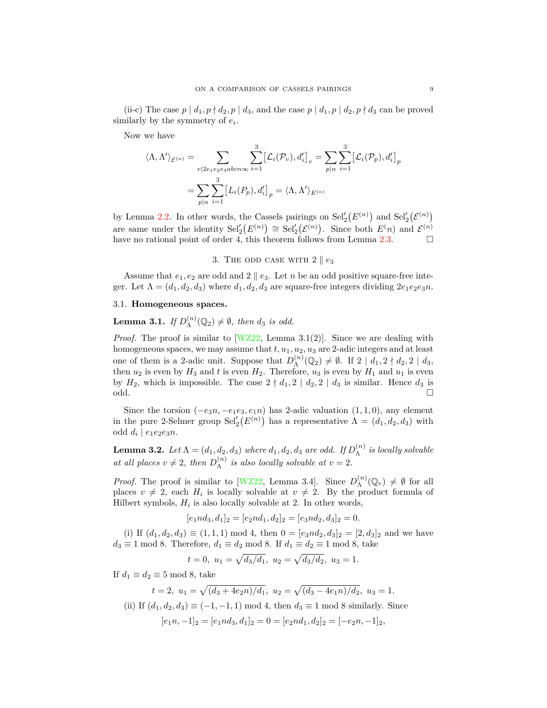(ii-c) The case  $p \mid d_1, p \nmid d_2, p \mid d_3$ , and the case  $p \mid d_1, p \mid d_2, p \nmid d_3$  can be proved similarly by the symmetry of *e<sup>i</sup>* .

Now we have

$$
\langle \Lambda, \Lambda' \rangle_{\mathcal{E}^{(n)}} = \sum_{v | 2e_1 e_2 e_3 ab c n \infty} \sum_{i=1}^3 \left[ \mathcal{L}_i(\mathcal{P}_v), d'_i \right]_v = \sum_{p | n} \sum_{i=1}^3 \left[ \mathcal{L}_i(\mathcal{P}_p), d'_i \right]_p
$$

$$
= \sum_{p | n} \sum_{i=1}^3 \left[ L_i(\mathcal{P}_p), d'_i \right]_p = \langle \Lambda, \Lambda' \rangle_{E^{(n)}}
$$

by Lemma [2.2](#page-3-2). In other words, the Cassels pairings on  $\text{Sel}'_2(E^{(n)})$  and  $\text{Sel}'_2(\mathcal{E}^{(n)})$ are same under the identity  $\text{Sel}'_2(E^{(n)}) \cong \text{Sel}'_2(\mathcal{E}^{(n)})$ . Since both  $E(n)$  and  $\mathcal{E}^{(n)}$ have no rational point of order 4, this theorem follows from Lemma [2.3.](#page-3-3)  $\Box$ 

## 3. The odd case with  $2 \parallel e_3$

Assume that  $e_1, e_2$  are odd and  $2 \parallel e_3$ . Let *n* be an odd positive square-free integer. Let  $\Lambda = (d_1, d_2, d_3)$  where  $d_1, d_2, d_3$  are square-free integers dividing  $2e_1e_2e_3n$ .

## 3.1. **Homogeneous spaces.**

<span id="page-8-0"></span>Lemma 3.1. *If*  $D_{\Lambda}^{(n)}$  $\Lambda^{(n)}(\mathbb{Q}_2) \neq \emptyset$ , then  $d_3$  *is odd.* 

*Proof.* The proof is similar to  $[WZ22]$ , Lemma 3.1(2). Since we are dealing with homogeneous spaces, we may assume that  $t, u_1, u_2, u_3$  are 2-adic integers and at least one of them is a 2-adic unit. Suppose that  $D_{\Lambda}^{(n)}$  $\Lambda^{(n)}(\mathbb{Q}_2) \neq \emptyset$ . If  $2 \mid d_1, 2 \nmid d_2, 2 \mid d_3$ , then  $u_2$  is even by  $H_3$  and  $t$  is even  $H_2$ . Therefore,  $u_3$  is even by  $H_1$  and  $u_1$  is even by  $H_2$ , which is impossible. The case  $2 \nmid d_1, 2 \nmid d_2, 2 \nmid d_3$  is similar. Hence  $d_3$  is  $\Box$ 

Since the torsion  $(-e_3n, -e_1e_3, e_1n)$  has 2-adic valuation  $(1, 1, 0)$ , any element in the pure 2-Selmer group  $\text{Sel}'_2(E^{(n)})$  has a representative  $\Lambda = (d_1, d_2, d_3)$  with odd  $d_i | e_1e_2e_3n$ .

<span id="page-8-1"></span>**Lemma 3.2.** *Let*  $\Lambda = (d_1, d_2, d_3)$  *where*  $d_1, d_2, d_3$  *are odd. If*  $D_{\Lambda}^{(n)}$ Λ *is locally solvable at all places*  $v \neq 2$ *, then*  $D_{\Lambda}^{(n)}$  $\Lambda^{(n)}$  *is also locally solvable at*  $v = 2$ *.* 

*Proof.* The proof is similar to [[WZ22](#page-19-0), Lemma 3.4]. Since  $D_{\lambda}^{(n)}$  $\Lambda^{(n)}(\mathbb{Q}_v) \neq \emptyset$  for all places  $v \neq 2$ , each  $H_i$  is locally solvable at  $v \neq 2$ . By the product formula of Hilbert symbols,  $H_i$  is also locally solvable at 2. In other words,

$$
[e_1nd_3, d_1]_2 = [e_2nd_1, d_2]_2 = [e_3nd_2, d_3]_2 = 0.
$$

(i) If  $(d_1, d_2, d_3) \equiv (1, 1, 1) \mod 4$ , then  $0 = [e_3n d_2, d_3]_2 = [2, d_3]_2$  and we have  $d_3 \equiv 1 \mod 8$ . Therefore,  $d_1 \equiv d_2 \mod 8$ . If  $d_1 \equiv d_2 \equiv 1 \mod 8$ , take

$$
t = 0
$$
,  $u_1 = \sqrt{d_3/d_1}$ ,  $u_2 = \sqrt{d_3/d_2}$ ,  $u_3 = 1$ .

If  $d_1 \equiv d_2 \equiv 5 \mod 8$ , take

$$
t = 2, u_1 = \sqrt{\frac{d_3 + 4e_2n}{d_1}}, u_2 = \sqrt{\frac{d_3 - 4e_1n}{d_2}}, u_3 = 1.
$$

(ii) If  $(d_1, d_2, d_3) \equiv (-1, -1, 1) \mod 4$ , then  $d_3 \equiv 1 \mod 8$  similarly. Since  $[e_1n, -1]_2 = [e_1nd_3, d_1]_2 = 0 = [e_2nd_1, d_2]_2 = [-e_2n, -1]_2$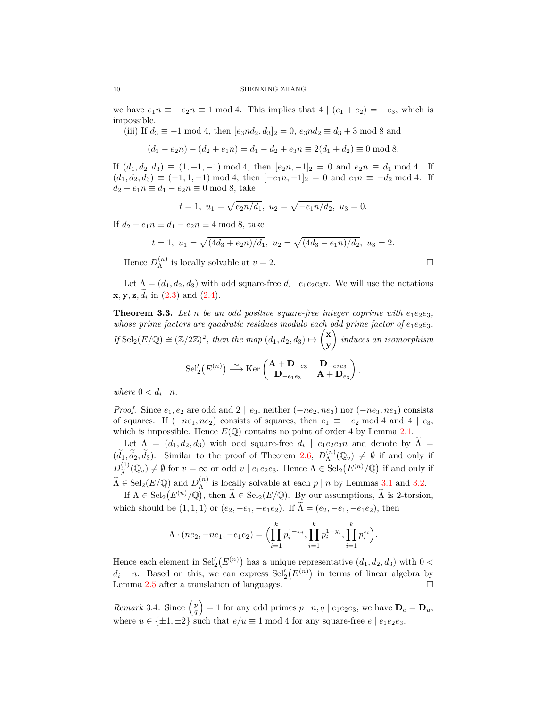we have  $e_1 n \equiv -e_2 n \equiv 1 \mod 4$ . This implies that  $4 | (e_1 + e_2) = -e_3$ , which is impossible.

(iii) If  $d_3 \equiv -1 \mod 4$ , then  $[e_3n d_2, d_3]_2 = 0$ ,  $e_3n d_2 \equiv d_3 + 3 \mod 8$  and

 $(d_1 - e_2n) - (d_2 + e_1n) = d_1 - d_2 + e_3n \equiv 2(d_1 + d_2) \equiv 0 \mod 8.$ 

If  $(d_1, d_2, d_3) \equiv (1, -1, -1) \mod 4$ , then  $[e_2n, -1]_2 = 0$  and  $e_2n \equiv d_1 \mod 4$ . If  $(d_1, d_2, d_3) \equiv (-1, 1, -1) \mod 4$ , then  $[-e_1n, -1]_2 = 0$  and  $e_1n \equiv -d_2 \mod 4$ . If  $d_2 + e_1 n \equiv d_1 - e_2 n \equiv 0 \mod 8$ , take

$$
t = 1, u_1 = \sqrt{e_2 n/d_1}, u_2 = \sqrt{-e_1 n/d_2}, u_3 = 0.
$$

If  $d_2 + e_1 n \equiv d_1 - e_2 n \equiv 4 \mod 8$ , take

$$
t = 1
$$
,  $u_1 = \sqrt{\frac{4d_3 + e_2 n}{d_1}}$ ,  $u_2 = \sqrt{\frac{4d_3 - e_1 n}{d_2}}$ ,  $u_3 = 2$ .

Hence  $D_{\Lambda}^{(n)}$  $\Lambda^{(n)}$  is locally solvable at  $v = 2$ .

Let  $\Lambda = (d_1, d_2, d_3)$  with odd square-free  $d_i | e_1 e_2 e_3 n$ . We will use the notations **x***,* **y***,* **z***, d*e*<sup>i</sup>* in ([2.3](#page-4-3)) and ([2.4\)](#page-4-4).

<span id="page-9-0"></span>**Theorem 3.3.** Let *n* be an odd positive square-free integer coprime with  $e_1e_2e_3$ , *whose prime factors are quadratic residues modulo each odd prime factor of*  $e_1e_2e_3$ .  $If$  Sel<sub>2</sub>( $E/\mathbb{Q}$ )  $\cong$   $(\mathbb{Z}/2\mathbb{Z})^2$ , then the map  $(d_1, d_2, d_3) \mapsto$  **x y**  $\overline{ }$ *induces an isomorphism*  $\text{Sel}'_2(E^{(n)}) \xrightarrow{\sim} \text{Ker} \begin{pmatrix} \mathbf{A} + \mathbf{D}_{-e_3} & \mathbf{D}_{-e_2 e_3} \\ \mathbf{D} & \mathbf{A} + \mathbf{D}_{-e_3} \end{pmatrix}$  $\mathbf{D}_{-e_1e_3}$  **A** +  $\mathbf{D}_{e_3}$  $\overline{\phantom{0}}$ *,*

*where*  $0 < d_i \mid n$ *.* 

*Proof.* Since  $e_1, e_2$  are odd and 2  $\parallel e_3$ , neither (*−ne*<sub>2</sub>*,ne*<sub>3</sub>) nor (*−ne*<sub>3</sub>*,ne*<sub>1</sub>) consists of squares. If  $(-ne_1, ne_2)$  consists of squares, then  $e_1 \equiv -e_2 \mod 4$  and  $4 | e_3$ , which is impossible. Hence  $E(\mathbb{Q})$  contains no point of order 4 by Lemma [2.1.](#page-2-2)

Let  $\Lambda = (d_1, d_2, d_3)$  with odd square-free  $d_i \mid e_1e_2e_3n$  and denote by  $\Lambda =$  $(\tilde{d}_1, \tilde{d}_2, \tilde{d}_3)$ . Similar to the proof of Theorem [2.6](#page-4-2),  $D_{\Lambda}^{(n)}$  $\Lambda^{(n)}(\mathbb{Q}_v) \neq \emptyset$  if and only if  $D_{\tilde{\chi}}^{(1)}$  $\Lambda(\mathbb{Q}_v) \neq \emptyset$  for  $v = \infty$  or odd  $v \mid e_1e_2e_3$ . Hence  $\Lambda \in \text{Sel}_2(E^{(n)}/\mathbb{Q})$  if and only if  $\widetilde{\Lambda} \in \text{Sel}_2(E/\mathbb{Q})$  and  $D_{\Lambda}^{(n)}$  $\Lambda^{(n)}$  is locally solvable at each  $p \mid n$  by Lemmas [3.1](#page-8-0) and [3.2](#page-8-1).

If  $\Lambda \in \text{Sel}_2(E^{(n)}/\mathbb{Q})$ , then  $\widetilde{\Lambda} \in \text{Sel}_2(E/\mathbb{Q})$ . By our assumptions,  $\widetilde{\Lambda}$  is 2-torsion, which should be  $(1, 1, 1)$  or  $(e_2, -e_1, -e_1e_2)$ . If  $\tilde{\Lambda} = (e_2, -e_1, -e_1e_2)$ , then

$$
\Lambda \cdot (ne_2, -ne_1, -e_1e_2) = \Big(\prod_{i=1}^k p_i^{1-x_i}, \prod_{i=1}^k p_i^{1-y_i}, \prod_{i=1}^k p_i^{z_i}\Big).
$$

Hence each element in  $\text{Sel}'_2(E^{(n)})$  has a unique representative  $(d_1, d_2, d_3)$  with  $0 <$  $d_i$  | *n*. Based on this, we can express  $\text{Sel}'_2(E^{(n)})$  in terms of linear algebra by Lemma [2.5](#page-3-1) after a translation of languages.

*Remark* 3.4*.* Since  $\left(\frac{p}{q}\right)$  $\left( \int_{0}^{1} e_1 e_2 e_3 \right)$ , we have  $\mathbf{D}_e = \mathbf{D}_u$ , where  $u \in {\pm 1, \pm 2}$  such that  $e/u \equiv 1 \mod 4$  for any square-free  $e \mid e_1 e_2 e_3$ .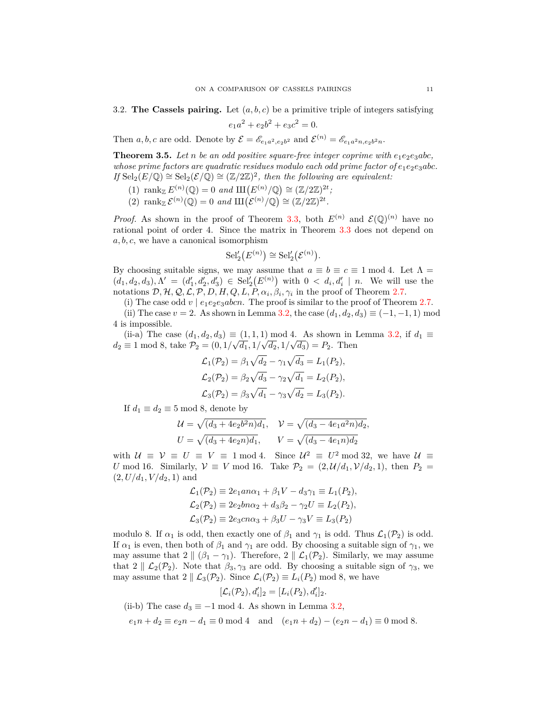3.2. **The Cassels pairing.** Let  $(a, b, c)$  be a primitive triple of integers satisfying  $e_1a^2 + e_2b^2 + e_3c^2 = 0.$ 

Then *a, b, c* are odd. Denote by  $\mathcal{E} = \mathcal{E}_{e_1a^2,e_2b^2}$  and  $\mathcal{E}^{(n)} = \mathcal{E}_{e_1a^2n,e_2b^2n}$ .

<span id="page-10-0"></span>**Theorem 3.5.** *Let n be an odd positive square-free integer coprime with e*1*e*2*e*3*abc, whose prime factors are quadratic residues modulo each odd prime factor of*  $e_1e_2e_3abc$ . *If*  $\text{Sel}_2(E/\mathbb{Q}) \cong \text{Sel}_2(\mathcal{E}/\mathbb{Q}) \cong (\mathbb{Z}/2\mathbb{Z})^2$ , then the following are equivalent:

- (1)  $\text{rank}_{\mathbb{Z}} E^{(n)}(\mathbb{Q}) = 0 \text{ and } \text{III}(E^{(n)}/\mathbb{Q}) \cong (\mathbb{Z}/2\mathbb{Z})^{2t}$ ;
- (2) rank  $\mathcal{E}^{(n)}(\mathbb{Q}) = 0$  and  $\mathop{\mathrm{III}}\nolimits(\mathcal{E}^{(n)}/\mathbb{Q}) \cong (\mathbb{Z}/2\mathbb{Z})^{2t}$ .

*Proof.* As shown in the proof of Theorem [3.3](#page-9-0), both  $E^{(n)}$  and  $\mathcal{E}(\mathbb{Q})^{(n)}$  have no rational point of order 4. Since the matrix in Theorem [3.3](#page-9-0) does not depend on *a, b, c*, we have a canonical isomorphism

$$
\mathrm{Sel}'_2(E^{(n)}) \cong \mathrm{Sel}'_2(\mathcal{E}^{(n)}).
$$

By choosing suitable signs, we may assume that  $a \equiv b \equiv c \equiv 1 \mod 4$ . Let  $\Lambda =$  $(d_1, d_2, d_3), \Lambda' = (d'_1, d'_2, d'_3) \in Sel_2'(E^{(n)})$  with  $0 < d_i, d'_i \mid n$ . We will use the notations  $\mathcal{D}, \mathcal{H}, \mathcal{Q}, \mathcal{L}, \mathcal{P}, D, H, Q, L, P, \alpha_i, \beta_i, \gamma_i$  in the proof of Theorem [2.7.](#page-5-0)

(i) The case odd  $v \mid e_1e_2e_3abcn$ . The proof is similar to the proof of Theorem [2.7.](#page-5-0)

(ii) The case  $v = 2$ . As shown in Lemma [3.2](#page-8-1), the case  $(d_1, d_2, d_3) \equiv (-1, -1, 1) \mod 3$ 4 is impossible.

(ii-a) The case  $(d_1, d_2, d_3) \equiv (1, 1, 1) \mod 4$ . As shown in Lemma [3.2](#page-8-1), if  $d_1 \equiv$  $d_2 \equiv 1 \mod 8$ , take  $\mathcal{P}_2 = (0, 1/\sqrt{d_1}, 1/\sqrt{d_2}, 1/\sqrt{d_3}) = P_2$ . Then

$$
\mathcal{L}_1(\mathcal{P}_2) = \beta_1 \sqrt{d_2} - \gamma_1 \sqrt{d_3} = L_1(P_2), \n\mathcal{L}_2(\mathcal{P}_2) = \beta_2 \sqrt{d_3} - \gamma_2 \sqrt{d_1} = L_2(P_2), \n\mathcal{L}_3(\mathcal{P}_2) = \beta_3 \sqrt{d_1} - \gamma_3 \sqrt{d_2} = L_3(P_2).
$$

If  $d_1 \equiv d_2 \equiv 5 \mod 8$ , denote by

$$
\mathcal{U} = \sqrt{(d_3 + 4e_2b^2n)d_1}, \quad \mathcal{V} = \sqrt{(d_3 - 4e_1a^2n)d_2},
$$
  

$$
U = \sqrt{(d_3 + 4e_2n)d_1}, \quad \mathcal{V} = \sqrt{(d_3 - 4e_1n)d_2}
$$

with  $U \equiv V \equiv U \equiv V \equiv 1 \mod 4$ . Since  $U^2 \equiv U^2 \mod 32$ , we have  $U \equiv$ *U* mod 16. Similarly,  $V \equiv V \mod 16$ . Take  $P_2 = (2, \mathcal{U}/d_1, \mathcal{V}/d_2, 1)$ , then  $P_2 =$  $(2, U/d_1, V/d_2, 1)$  and

$$
\mathcal{L}_1(\mathcal{P}_2) \equiv 2e_1an\alpha_1 + \beta_1 V - d_3\gamma_1 \equiv L_1(P_2),
$$
  

$$
\mathcal{L}_2(\mathcal{P}_2) \equiv 2e_2bn\alpha_2 + d_3\beta_2 - \gamma_2 U \equiv L_2(P_2),
$$
  

$$
\mathcal{L}_3(\mathcal{P}_2) \equiv 2e_3cn\alpha_3 + \beta_3 U - \gamma_3 V \equiv L_3(P_2)
$$

modulo 8. If  $\alpha_1$  is odd, then exactly one of  $\beta_1$  and  $\gamma_1$  is odd. Thus  $\mathcal{L}_1(\mathcal{P}_2)$  is odd. If  $\alpha_1$  is even, then both of  $\beta_1$  and  $\gamma_1$  are odd. By choosing a suitable sign of  $\gamma_1$ , we may assume that  $2 \parallel (\beta_1 - \gamma_1)$ . Therefore,  $2 \parallel \mathcal{L}_1(\mathcal{P}_2)$ . Similarly, we may assume that  $2 \parallel \mathcal{L}_2(\mathcal{P}_2)$ . Note that  $\beta_3, \gamma_3$  are odd. By choosing a suitable sign of  $\gamma_3$ , we may assume that  $2 \parallel \mathcal{L}_3(\mathcal{P}_2)$ . Since  $\mathcal{L}_i(\mathcal{P}_2) \equiv L_i(P_2) \mod 8$ , we have

$$
[\mathcal{L}_i(\mathcal{P}_2), d_i']_2 = [L_i(P_2), d_i']_2.
$$

(ii-b) The case  $d_3 \equiv -1 \mod 4$ . As shown in Lemma [3.2,](#page-8-1)

 $e_1 n + d_2 \equiv e_2 n - d_1 \equiv 0 \mod 4$  and  $(e_1 n + d_2) - (e_2 n - d_1) \equiv 0 \mod 8$ .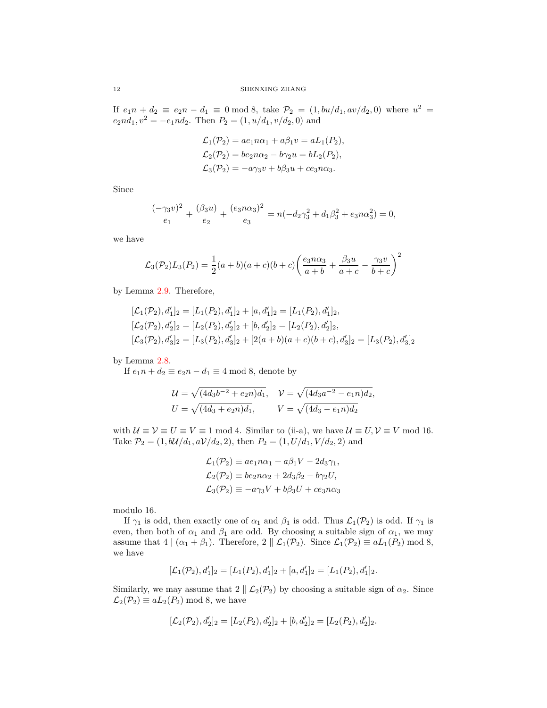If  $e_1n + d_2 \equiv e_2n - d_1 \equiv 0 \mod 8$ , take  $\mathcal{P}_2 = (1, bu/d_1, av/d_2, 0)$  where  $u^2 =$  $e_2nd_1, v^2 = -e_1nd_2$ . Then  $P_2 = (1, u/d_1, v/d_2, 0)$  and

$$
\mathcal{L}_1(\mathcal{P}_2) = ae_1n\alpha_1 + a\beta_1v = aL_1(P_2),
$$
  
\n
$$
\mathcal{L}_2(\mathcal{P}_2) = be_2n\alpha_2 - b\gamma_2u = bL_2(P_2),
$$
  
\n
$$
\mathcal{L}_3(\mathcal{P}_2) = -a\gamma_3v + b\beta_3u + ce_3n\alpha_3.
$$

Since

$$
\frac{(-\gamma_3 v)^2}{e_1} + \frac{(\beta_3 u)}{e_2} + \frac{(e_3 n \alpha_3)^2}{e_3} = n(-d_2 \gamma_3^2 + d_1 \beta_3^2 + e_3 n \alpha_3^2) = 0,
$$

we have

$$
\mathcal{L}_3(\mathcal{P}_2)L_3(P_2) = \frac{1}{2}(a+b)(a+c)(b+c)\left(\frac{e_3n\alpha_3}{a+b} + \frac{\beta_3u}{a+c} - \frac{\gamma_3v}{b+c}\right)^2
$$

by Lemma [2.9.](#page-6-0) Therefore,

$$
[\mathcal{L}_1(\mathcal{P}_2), d'_1]_2 = [L_1(P_2), d'_1]_2 + [a, d'_1]_2 = [L_1(P_2), d'_1]_2,
$$
  
\n
$$
[\mathcal{L}_2(\mathcal{P}_2), d'_2]_2 = [L_2(P_2), d'_2]_2 + [b, d'_2]_2 = [L_2(P_2), d'_2]_2,
$$
  
\n
$$
[\mathcal{L}_3(\mathcal{P}_2), d'_3]_2 = [L_3(P_2), d'_3]_2 + [2(a+b)(a+c)(b+c), d'_3]_2 = [L_3(P_2), d'_3]_2
$$

by Lemma [2.8.](#page-5-1)

If  $e_1 n + d_2 \equiv e_2 n - d_1 \equiv 4 \mod 8$ , denote by

$$
\mathcal{U} = \sqrt{(4d_3b^{-2} + e_2n)d_1}, \quad \mathcal{V} = \sqrt{(4d_3a^{-2} - e_1n)d_2},
$$
  

$$
U = \sqrt{(4d_3 + e_2n)d_1}, \qquad V = \sqrt{(4d_3 - e_1n)d_2}
$$

with  $U \equiv V \equiv U \equiv V \equiv 1 \mod 4$ . Similar to (ii-a), we have  $U \equiv U, V \equiv V \mod 16$ . Take  $P_2 = (1, b\mathcal{U}/d_1, a\mathcal{V}/d_2, 2)$ , then  $P_2 = (1, U/d_1, V/d_2, 2)$  and

$$
\mathcal{L}_1(\mathcal{P}_2) \equiv a e_1 n \alpha_1 + a \beta_1 V - 2 d_3 \gamma_1,
$$
  
\n
$$
\mathcal{L}_2(\mathcal{P}_2) \equiv b e_2 n \alpha_2 + 2 d_3 \beta_2 - b \gamma_2 U,
$$
  
\n
$$
\mathcal{L}_3(\mathcal{P}_2) \equiv -a \gamma_3 V + b \beta_3 U + c e_3 n \alpha_3
$$

modulo 16.

If  $\gamma_1$  is odd, then exactly one of  $\alpha_1$  and  $\beta_1$  is odd. Thus  $\mathcal{L}_1(\mathcal{P}_2)$  is odd. If  $\gamma_1$  is even, then both of  $\alpha_1$  and  $\beta_1$  are odd. By choosing a suitable sign of  $\alpha_1$ , we may assume that  $4 | (\alpha_1 + \beta_1)$ . Therefore,  $2 || \mathcal{L}_1(\mathcal{P}_2)$ . Since  $\mathcal{L}_1(\mathcal{P}_2) \equiv aL_1(P_2) \mod 8$ , we have

$$
[\mathcal{L}_1(\mathcal{P}_2), d_1']_2 = [L_1(P_2), d_1']_2 + [a, d_1']_2 = [L_1(P_2), d_1']_2.
$$

Similarly, we may assume that  $2 \parallel \mathcal{L}_2(\mathcal{P}_2)$  by choosing a suitable sign of  $\alpha_2$ . Since  $\mathcal{L}_2(\mathcal{P}_2) \equiv aL_2(P_2) \mod 8$ , we have

$$
[\mathcal{L}_2(\mathcal{P}_2), d'_2]_2 = [L_2(P_2), d'_2]_2 + [b, d'_2]_2 = [L_2(P_2), d'_2]_2.
$$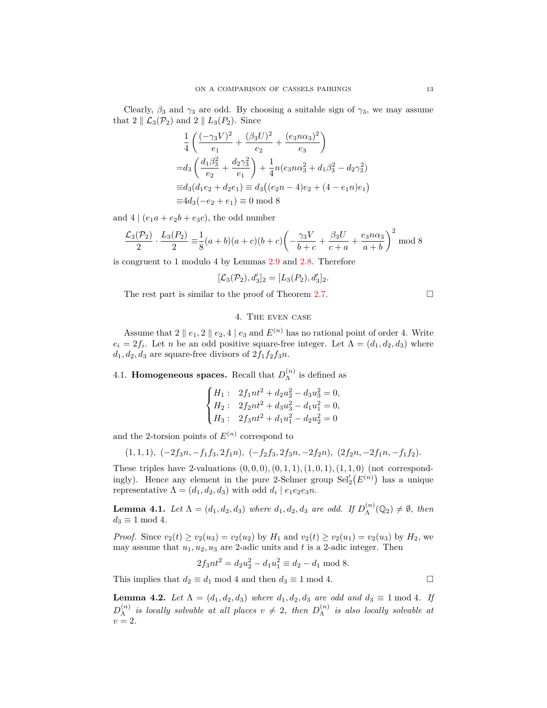Clearly,  $\beta_3$  and  $\gamma_3$  are odd. By choosing a suitable sign of  $\gamma_3$ , we may assume that  $2 \parallel \mathcal{L}_3(\mathcal{P}_2)$  and  $2 \parallel L_3(\mathcal{P}_2)$ . Since

$$
\frac{1}{4} \left( \frac{(-\gamma_3 V)^2}{e_1} + \frac{(\beta_3 U)^2}{e_2} + \frac{(e_3 n \alpha_3)^2}{e_3} \right)
$$
  
=  $d_3 \left( \frac{d_1 \beta_3^2}{e_2} + \frac{d_2 \gamma_3^2}{e_1} \right) + \frac{1}{4} n (e_3 n \alpha_3^2 + d_1 \beta_3^2 - d_2 \gamma_3^2)$   
=  $d_3 (d_1 e_2 + d_2 e_1) \equiv d_3 ((e_2 n - 4) e_2 + (4 - e_1 n) e_1)$   
=  $4d_3 (-e_2 + e_1) \equiv 0 \mod 8$ 

and  $4 | (e_1a + e_2b + e_3c)$ , the odd number

$$
\frac{\mathcal{L}_3(\mathcal{P}_2)}{2} \cdot \frac{L_3(P_2)}{2} \equiv \frac{1}{8}(a+b)(a+c)(b+c)\left(-\frac{\gamma_3 V}{b+c} + \frac{\beta_3 U}{c+a} + \frac{e_3 n \alpha_3}{a+b}\right)^2 \mod 8
$$

is congruent to 1 modulo 4 by Lemmas [2.9](#page-6-0) and [2.8.](#page-5-1) Therefore

$$
[\mathcal{L}_3(\mathcal{P}_2), d_3']_2 = [L_3(P_2), d_3']_2.
$$

The rest part is similar to the proof of Theorem [2.7](#page-5-0).

$$
\Box
$$

# 4. The even case

Assume that  $2 \parallel e_1, 2 \parallel e_2, 4 \mid e_3$  and  $E^{(n)}$  has no rational point of order 4. Write  $e_i = 2f_i$ . Let *n* be an odd positive square-free integer. Let  $\Lambda = (d_1, d_2, d_3)$  where  $d_1, d_2, d_3$  are square-free divisors of  $2f_1f_2f_3n$ .

4.1. **Homogeneous spaces.** Recall that  $D_{\Lambda}^{(n)}$  $\Lambda^{(n)}$  is defined as

$$
\begin{cases} H_1: & 2f_1nt^2 + d_2u_2^2 - d_3u_3^2 = 0, \\ H_2: & 2f_2nt^2 + d_3u_3^2 - d_1u_1^2 = 0, \\ H_3: & 2f_3nt^2 + d_1u_1^2 - d_2u_2^2 = 0 \end{cases}
$$

and the 2-torsion points of  $E^{(n)}$  correspond to

$$
(1,1,1), (-2f_3n,-f_1f_3,2f_1n), (-f_2f_3,2f_3n,-2f_2n), (2f_2n,-2f_1n,-f_1f_2).
$$

These triples have 2-valuations  $(0, 0, 0), (0, 1, 1), (1, 0, 1), (1, 1, 0)$  (not correspondingly). Hence any element in the pure 2-Selmer group  $\text{Sel}'_2(E^{(n)})$  has a unique representative  $\Lambda = (d_1, d_2, d_3)$  with odd  $d_i | e_1 e_2 e_3 n$ .

<span id="page-12-0"></span>**Lemma 4.1.** *Let*  $\Lambda = (d_1, d_2, d_3)$  *where*  $d_1, d_2, d_3$  *are odd. If*  $D_{\Lambda}^{(n)}$  $\Lambda^{(n)}(\mathbb{Q}_2) \neq \emptyset$ , then  $d_3 \equiv 1 \mod 4$ .

*Proof.* Since  $v_2(t) \ge v_2(u_3) = v_2(u_2)$  by  $H_1$  and  $v_2(t) \ge v_2(u_1) = v_2(u_3)$  by  $H_2$ , we may assume that  $u_1, u_2, u_3$  are 2-adic units and  $t$  is a 2-adic integer. Then

$$
2f_3nt^2 = d_2u_2^2 - d_1u_1^2 \equiv d_2 - d_1 \bmod 8.
$$

This implies that  $d_2 \equiv d_1 \mod 4$  and then  $d_3 \equiv 1 \mod 4$ .

<span id="page-12-1"></span>**Lemma 4.2.** *Let*  $\Lambda = (d_1, d_2, d_3)$  *where*  $d_1, d_2, d_3$  *are odd and*  $d_3 \equiv 1 \text{ mod } 4$ *. If*  $D_{\Lambda}^{(n)}$  $\lambda^{(n)}$  *is locally solvable at all places*  $v \neq 2$ *, then*  $D_{\Lambda}^{(n)}$ Λ *is also locally solvable at*  $v = 2$ .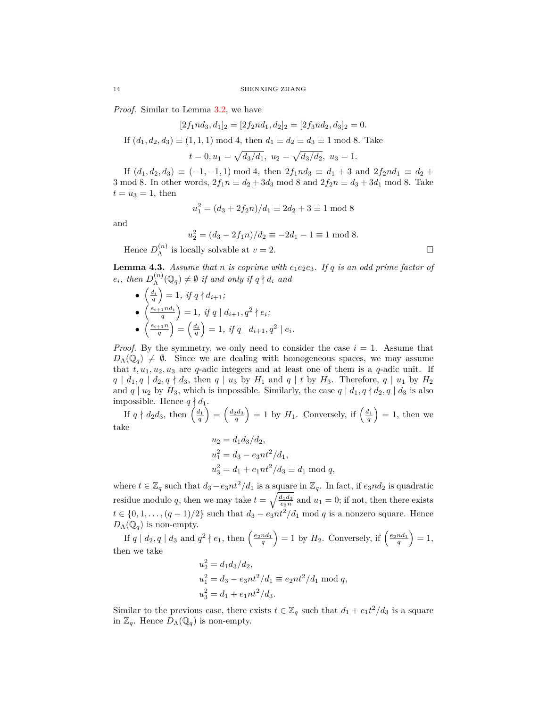*Proof.* Similar to Lemma [3.2,](#page-8-1) we have

 $[2f_1nd_3, d_1]_2 = [2f_2nd_1, d_2]_2 = [2f_3nd_2, d_3]_2 = 0.$ If  $(d_1, d_2, d_3) \equiv (1, 1, 1) \mod 4$ , then  $d_1 \equiv d_2 \equiv d_3 \equiv 1 \mod 8$ . Take  $t = 0, u_1 = \sqrt{d_3/d_1}, u_2 = \sqrt{d_3/d_2}, u_3 = 1.$ 

If  $(d_1, d_2, d_3) \equiv (-1, -1, 1) \mod 4$ , then  $2f_1nd_3 \equiv d_1 + 3$  and  $2f_2nd_1 \equiv d_2 +$ 3 mod 8. In other words,  $2f_1 n \equiv d_2 + 3d_3$  mod 8 and  $2f_2 n \equiv d_3 + 3d_1$  mod 8. Take  $t = u_3 = 1$ , then

$$
u_1^2 = (d_3 + 2f_2n)/d_1 \equiv 2d_2 + 3 \equiv 1 \mod 8
$$

and

$$
u_2^2 = (d_3 - 2f_1n)/d_2 \equiv -2d_1 - 1 \equiv 1 \mod 8.
$$
  
locally solvable at  $v = 2$ 

Hence  $D_{\Lambda}^{(n)}$  $\Lambda^{(n)}$  is locally solvable at  $v = 2$ .

<span id="page-13-0"></span>**Lemma 4.3.** *Assume that n is coprime with e*1*e*2*e*3*. If q is an odd prime factor of*  $e_i$ *, then*  $D_{\Lambda}^{(n)}$  $\Lambda^{(n)}(\mathbb{Q}_q) \neq \emptyset$  *if and only if*  $q \nmid d_i$  *and* 

\n- \n
$$
\begin{aligned}\n \left( \frac{d_i}{q} \right) &= 1, \text{ if } q \nmid d_{i+1}; \\
 \left( \frac{e_{i+1} n d_i}{q} \right) &= 1, \text{ if } q \mid d_{i+1}, q^2 \nmid e_i; \\
 \left( \frac{e_{i+1} n}{q} \right) &= \left( \frac{d_i}{q} \right) = 1, \text{ if } q \mid d_{i+1}, q^2 \mid e_i.\n \end{aligned}
$$
\n
\n

*Proof.* By the symmetry, we only need to consider the case  $i = 1$ . Assume that  $D_\Lambda(\mathbb{Q}_q) \neq \emptyset$ . Since we are dealing with homogeneous spaces, we may assume that  $t, u_1, u_2, u_3$  are *q*-adic integers and at least one of them is a *q*-adic unit. If  $q | d_1, q | d_2, q \nmid d_3$ , then  $q | u_3$  by  $H_1$  and  $q | t$  by  $H_3$ . Therefore,  $q | u_1$  by  $H_2$ and  $q \mid u_2$  by  $H_3$ , which is impossible. Similarly, the case  $q \mid d_1, q \nmid d_2, q \mid d_3$  is also impossible. Hence  $q \nmid d_1$ .

If  $q \nmid d_2 d_3$ , then  $\left(\frac{d_1}{q}\right)$  $=\left(\frac{d_2d_3}{q}\right)$  $= 1$  by *H*<sub>1</sub>. Conversely, if  $\left(\frac{d_1}{q}\right)$  $= 1$ , then we take

$$
u_2 = d_1 d_3 / d_2,
$$
  
\n
$$
u_1^2 = d_3 - e_3 nt^2 / d_1,
$$
  
\n
$$
u_3^2 = d_1 + e_1 nt^2 / d_3 \equiv d_1 \mod q,
$$

where  $t \in \mathbb{Z}_q$  such that  $d_3 - e_3nt^2/d_1$  is a square in  $\mathbb{Z}_q$ . In fact, if  $e_3nd_2$  is quadratic residue modulo *q*, then we may take  $t = \sqrt{\frac{d_1 d_3}{e_3 n}}$  and  $u_1 = 0$ ; if not, then there exists *t* ∈ {0, 1, . . . ,  $(q-1)/2$ } such that  $d_3 - e_3nt^2/d_1$  mod *q* is a nonzero square. Hence  $D_\Lambda(\mathbb{Q}_q)$  is non-empty.

If  $q \mid d_2, q \mid d_3$  and  $q^2 \nmid e_1$ , then  $\left(\frac{e_2 n d_1}{q}\right)$  $= 1$  by  $H_2$ . Conversely, if  $\left(\frac{e_2n d_1}{q}\right)$  $= 1,$ then we take

$$
u_2^2 = d_1 d_3 / d_2,
$$
  
\n
$$
u_1^2 = d_3 - e_3 nt^2 / d_1 \equiv e_2 nt^2 / d_1 \mod q,
$$
  
\n
$$
u_3^2 = d_1 + e_1 nt^2 / d_3.
$$

Similar to the previous case, there exists  $t \in \mathbb{Z}_q$  such that  $d_1 + e_1 t^2 / d_3$  is a square in  $\mathbb{Z}_q$ . Hence  $D_\Lambda(\mathbb{Q}_q)$  is non-empty.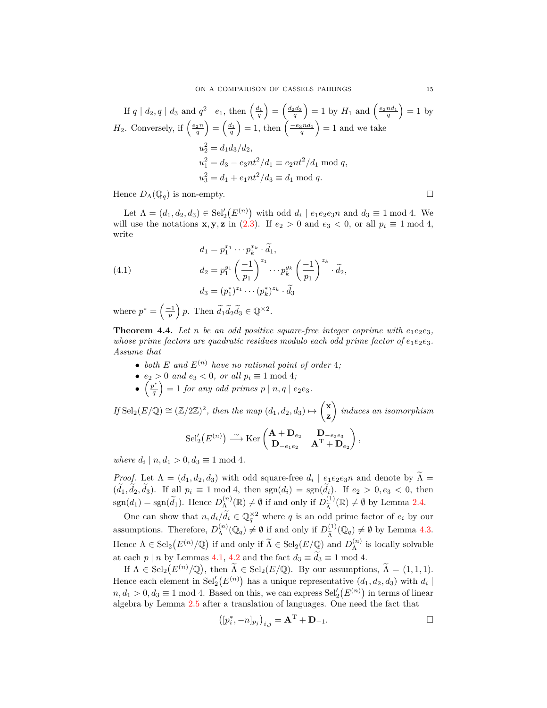If 
$$
q | d_2, q | d_3
$$
 and  $q^2 | e_1$ , then  $\left(\frac{d_1}{q}\right) = \left(\frac{d_2 d_3}{q}\right) = 1$  by  $H_1$  and  $\left(\frac{e_2 n d_1}{q}\right) = 1$  by  
\n $H_2$ . Conversely, if  $\left(\frac{e_2 n}{q}\right) = \left(\frac{d_1}{q}\right) = 1$ , then  $\left(\frac{-e_3 n d_1}{q}\right) = 1$  and we take  
\n $u_2^2 = d_1 d_3 / d_2$ ,  
\n $u_1^2 = d_3 - e_3 n t^2 / d_1 \equiv e_2 n t^2 / d_1 \mod q$ ,  
\n $u_3^2 = d_1 + e_1 n t^2 / d_3 \equiv d_1 \mod q$ .

Hence  $D_{\Lambda}(\mathbb{Q}_q)$  is non-empty.

Let  $\Lambda = (d_1, d_2, d_3) \in Sel'_2(E^{(n)})$  with odd  $d_i | e_1e_2e_3n$  and  $d_3 \equiv 1 \mod 4$ . We will use the notations **x**, **y**, **z** in [\(2.3\)](#page-4-3). If  $e_2 > 0$  and  $e_3 < 0$ , or all  $p_i \equiv 1 \mod 4$ , write

(4.1) 
$$
d_1 = p_1^{x_1} \cdots p_k^{x_k} \cdot \tilde{d}_1,
$$

$$
d_2 = p_1^{y_1} \left(\frac{-1}{p_1}\right)^{z_1} \cdots p_k^{y_k} \left(\frac{-1}{p_1}\right)^{z_k} \cdot \tilde{d}_2,
$$

$$
d_3 = (p_1^*)^{z_1} \cdots (p_k^*)^{z_k} \cdot \tilde{d}_3
$$

where  $p^* = \left(\frac{-1}{p}\right)$  $\left( \rho \right)$  *p*. Then  $\widetilde{d}_1 \widetilde{d}_2 \widetilde{d}_3 \in \mathbb{Q}^{\times 2}$ .

<span id="page-14-0"></span>**Theorem 4.4.** Let *n* be an odd positive square-free integer coprime with  $e_1e_2e_3$ , *whose prime factors are quadratic residues modulo each odd prime factor of*  $e_1e_2e_3$ *. Assume that*

- both  $E$  and  $E^{(n)}$  have no rational point of order 4;
- $e_2 > 0$  *and*  $e_3 < 0$ *, or all*  $p_i \equiv 1 \mod 4$ *;*
- $\left(\frac{p^*}{q}\right)$  $= 1$  *for any odd primes*  $p | n, q | e_2e_3$ .

 $If$  Sel<sub>2</sub>( $E/\mathbb{Q}$ )  $\cong$   $(\mathbb{Z}/2\mathbb{Z})^2$ *, then the map*  $(d_1, d_2, d_3) \mapsto$  **x z**  $\overline{\phantom{0}}$ *induces an isomorphism* (*n*) *<sup>∼</sup>−→* Ker **A** + **D***e*<sup>2</sup> **D***−e*2*e*<sup>3</sup>  $\overline{\phantom{0}}$ *,*

$$
\mathrm{Sel}'_2(E^{(n)}) \xrightarrow{\sim} \mathrm{Ker}\begin{pmatrix} \mathbf{A} + \mathbf{D}_{e_2} & \mathbf{D}_{-e_2 e_3} \\ \mathbf{D}_{-e_1 e_2} & \mathbf{A}^{\mathrm{T}} + \mathbf{D}_{e_2} \end{pmatrix}.
$$

*where*  $d_i | n, d_1 > 0, d_3 \equiv 1 \mod 4$ .

*Proof.* Let  $\Lambda = (d_1, d_2, d_3)$  with odd square-free  $d_i \mid e_1e_2e_3n$  and denote by  $\Lambda =$  $(\tilde{d}_1, \tilde{d}_2, \tilde{d}_3)$ . If all  $p_i \equiv 1 \mod 4$ , then  $sgn(d_i) = sgn(\tilde{d}_i)$ . If  $e_2 > 0, e_3 < 0$ , then  $sgn(d_1) = sgn(\tilde{d}_1)$ . Hence  $D_{\Lambda}^{(n)}$  $\mathcal{L}_{\Lambda}^{(n)}(\mathbb{R}) \neq \emptyset$  if and only if  $D_{\widetilde{\Lambda}}^{(1)}$  $\widetilde{A}^{(1)}(\mathbb{R}) \neq \emptyset$  by Lemma [2.4.](#page-3-0)

One can show that  $n, d_i/\tilde{d_i} \in \mathbb{Q}_q^{\times 2}$  where *q* is an odd prime factor of  $e_i$  by our assumptions. Therefore,  $D_{\Lambda}^{(n)}$  $\mathcal{L}_{\Lambda}^{(n)}(\mathbb{Q}_q) \neq \emptyset$  if and only if  $D_{\widetilde{\Lambda}}^{(1)}$  $\tilde{\Lambda}^{(1)}(\mathbb{Q}_q) \neq \emptyset$  by Lemma [4.3.](#page-13-0) Hence  $\Lambda \in \text{Sel}_2(E^{(n)}/\mathbb{Q})$  if and only if  $\widetilde{\Lambda} \in \text{Sel}_2(E/\mathbb{Q})$  and  $D_{\Lambda}^{(n)}$  $\Lambda^{(n)}$  is locally solvable at each *p* | *n* by Lemmas [4.1,](#page-12-0) [4.2](#page-12-1) and the fact  $d_3 \equiv \tilde{d}_3 \equiv 1 \mod 4$ .

If  $\Lambda \in \text{Sel}_2(E^{(n)}/\mathbb{Q})$ , then  $\widetilde{\Lambda} \in \text{Sel}_2(E/\mathbb{Q})$ . By our assumptions,  $\widetilde{\Lambda} = (1,1,1)$ . Hence each element in  $\text{Sel}'_2(E^{(n)})$  has a unique representative  $(d_1, d_2, d_3)$  with  $d_i$  $n, d_1 > 0, d_3 \equiv 1 \mod 4$ . Based on this, we can express  $\text{Sel}'_2(E^{(n)})$  in terms of linear algebra by Lemma [2.5](#page-3-1) after a translation of languages. One need the fact that

$$
([p_i^*, -n]_{p_j})_{i,j} = \mathbf{A}^{\mathrm{T}} + \mathbf{D}_{-1}.
$$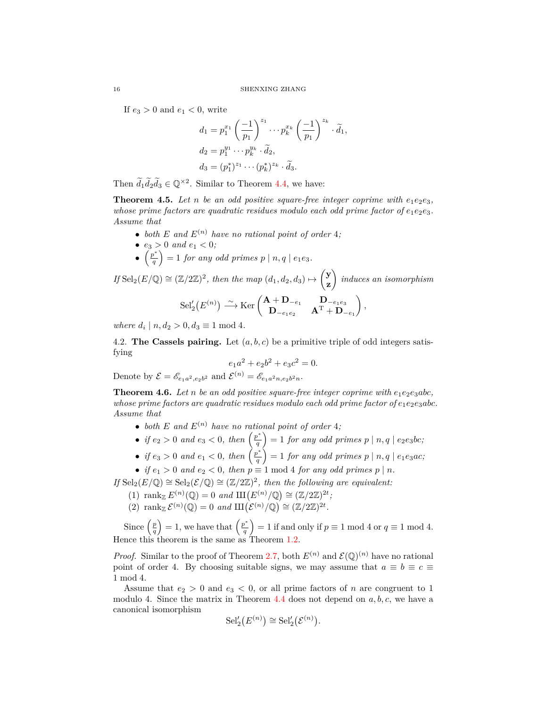If  $e_3 > 0$  and  $e_1 < 0$ , write

$$
d_1 = p_1^{x_1} \left(\frac{-1}{p_1}\right)^{z_1} \cdots p_k^{x_k} \left(\frac{-1}{p_1}\right)^{z_k} \cdot \widetilde{d}_1,
$$
  
\n
$$
d_2 = p_1^{y_1} \cdots p_k^{y_k} \cdot \widetilde{d}_2,
$$
  
\n
$$
d_3 = (p_1^*)^{z_1} \cdots (p_k^*)^{z_k} \cdot \widetilde{d}_3.
$$

Then  $d_1 d_2 d_3 \in \mathbb{Q}^{\times 2}$ . Similar to Theorem [4.4,](#page-14-0) we have:

<span id="page-15-1"></span>**Theorem 4.5.** Let *n* be an odd positive square-free integer coprime with  $e_1e_2e_3$ , *whose prime factors are quadratic residues modulo each odd prime factor of*  $e_1e_2e_3$ *. Assume that*

- both  $E$  and  $E^{(n)}$  have no rational point of order 4;
- $e_3 > 0$  *and*  $e_1 < 0$ ;
- $\left(\frac{p^*}{q}\right)$  $\left( \int_{0}^{a} \right) = 1$  *for any odd primes*  $p \mid n, q \mid e_1e_3$ *.*

*If* Sel<sub>2</sub>( $E/\mathbb{Q}$ ) ≅ ( $\mathbb{Z}/2\mathbb{Z}$ )<sup>2</sup>, then the map ( $d_1, d_2, d_3$ )  $\mapsto$  **y z**  $\overline{ }$ *induces an isomorphism*  $\text{Sel}'_2(E^{(n)}) \stackrel{\sim}{\longrightarrow} \text{Ker}\begin{pmatrix} \mathbf{A} + \mathbf{D}_{-e_1} & \mathbf{D}_{-e_1e_3} \\ \mathbf{D} & \mathbf{A}^T + \mathbf{D} \end{pmatrix}$  $D_{-e_1e_2}$  **A**<sup>T</sup> +  $D_{-e_1}$  $\overline{ }$ *,*

*where*  $d_i | n, d_2 > 0, d_3 \equiv 1 \mod 4$ .

4.2. **The Cassels pairing.** Let  $(a, b, c)$  be a primitive triple of odd integers satisfying

$$
e_1a^2 + e_2b^2 + e_3c^2 = 0.
$$

Denote by  $\mathcal{E} = \mathscr{E}_{e_1a^2,e_2b^2}$  and  $\mathcal{E}^{(n)} = \mathscr{E}_{e_1a^2n,e_2b^2n}$ .

<span id="page-15-0"></span>**Theorem 4.6.** Let *n* be an odd positive square-free integer coprime with  $e_1e_2e_3abc$ , *whose prime factors are quadratic residues modulo each odd prime factor of*  $e_1e_2e_3abc$ . *Assume that*

- *both*  $E$  *and*  $E^{(n)}$  *have no rational point of order* 4*;*
- *if*  $e_2 > 0$  *and*  $e_3 < 0$ *, then*  $\left(\frac{p^*}{q}\right)$  $\left( \int_{0}^{a} 1 \text{ for any odd primes } p \mid n, q \mid e_2e_3bc; \right)$
- *if*  $e_3 > 0$  *and*  $e_1 < 0$ *, then*  $\left(\frac{p^*}{q}\right)$  $\left( \int_{0}^{\infty} 1 \text{ for any odd primes } p \mid n, q \mid e_1e_3ac; \right)$
- *if*  $e_1 > 0$  *and*  $e_2 < 0$ *, then*  $p \equiv 1 \mod 4$  *for any odd primes*  $p \mid n$ *.*

*If* Sel<sub>2</sub>( $E$ / $\mathbb{Q}$ )  $\cong$  Sel<sub>2</sub>( $\mathcal{E}$ / $\mathbb{Q}$ )  $\cong$  ( $\mathbb{Z}/2\mathbb{Z}$ )<sup>2</sup>, then the following are equivalent:

- (1)  $\text{rank}_{\mathbb{Z}} E^{(n)}(\mathbb{Q}) = 0 \text{ and } \text{III}(E^{(n)}/\mathbb{Q}) \cong (\mathbb{Z}/2\mathbb{Z})^{2t}$ ;
- (2) rank  $\mathcal{E}^{(n)}(\mathbb{Q}) = 0$  and  $\text{III}(\mathcal{E}^{(n)}/\mathbb{Q}) \cong (\mathbb{Z}/2\mathbb{Z})^{2t}$ .

Since  $\left(\frac{p}{q}\right)$  $= 1$ , we have that  $\left(\frac{p^*}{q}\right)$  $= 1$  if and only if  $p \equiv 1 \mod 4$  or  $q \equiv 1 \mod 4$ . Hence this theorem is the same as Theorem [1.2.](#page-1-1)

*Proof.* Similar to the proof of Theorem [2.7](#page-5-0), both  $E^{(n)}$  and  $\mathcal{E}(\mathbb{Q})^{(n)}$  have no rational point of order 4. By choosing suitable signs, we may assume that  $a \equiv b \equiv c \equiv$ 1 mod 4.

Assume that  $e_2 > 0$  and  $e_3 < 0$ , or all prime factors of *n* are congruent to 1 modulo 4. Since the matrix in Theorem [4.4](#page-14-0) does not depend on *a, b, c*, we have a canonical isomorphism

$$
\mathrm{Sel}'_2(E^{(n)}) \cong \mathrm{Sel}'_2(\mathcal{E}^{(n)}).
$$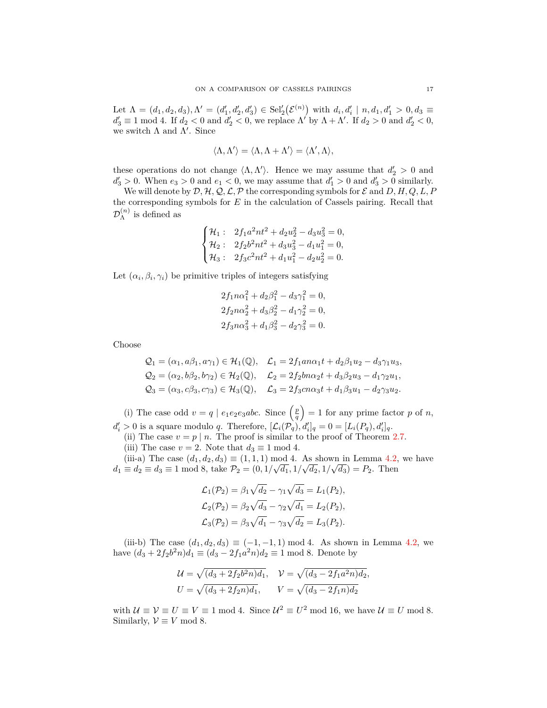Let  $\Lambda = (d_1, d_2, d_3), \Lambda' = (d'_1, d'_2, d'_3) \in Sel'_2(\mathcal{E}^{(n)})$  with  $d_i, d'_i | n, d_1, d'_1 > 0, d_3 \equiv$  $d'_3 \equiv 1 \mod 4$ . If  $d_2 < 0$  and  $d'_2 < 0$ , we replace  $\Lambda'$  by  $\Lambda + \Lambda'$ . If  $d_2 > 0$  and  $d'_2 < 0$ , we switch Λ and Λ *′* . Since

$$
\langle \Lambda, \Lambda' \rangle = \langle \Lambda, \Lambda + \Lambda' \rangle = \langle \Lambda', \Lambda \rangle,
$$

these operations do not change  $\langle \Lambda, \Lambda' \rangle$ . Hence we may assume that  $d'_2 > 0$  and  $d'_3 > 0$ . When  $e_3 > 0$  and  $e_1 < 0$ , we may assume that  $d'_1 > 0$  and  $d'_3 > 0$  similarly.

We will denote by  $D$ *,*  $H$ *,*  $Q$ *,*  $L$ *,* $P$  the corresponding symbols for  $E$  and  $D$ *,*  $H$ *,* $Q$ *,* $L$ *,* $P$ the corresponding symbols for *E* in the calculation of Cassels pairing. Recall that  $\mathcal{D}_{\Lambda}^{(n)}$  $\Lambda^{(n)}$  is defined as

$$
\begin{cases} \mathcal{H}_1: & 2f_1a^2nt^2 + d_2u_2^2 - d_3u_3^2 = 0, \\ \mathcal{H}_2: & 2f_2b^2nt^2 + d_3u_3^2 - d_1u_1^2 = 0, \\ \mathcal{H}_3: & 2f_3c^2nt^2 + d_1u_1^2 - d_2u_2^2 = 0. \end{cases}
$$

Let  $(\alpha_i, \beta_i, \gamma_i)$  be primitive triples of integers satisfying

$$
2f_1n\alpha_1^2 + d_2\beta_1^2 - d_3\gamma_1^2 = 0,
$$
  
\n
$$
2f_2n\alpha_2^2 + d_3\beta_2^2 - d_1\gamma_2^2 = 0,
$$
  
\n
$$
2f_3n\alpha_3^2 + d_1\beta_3^2 - d_2\gamma_3^2 = 0.
$$

Choose

$$
Q_1 = (\alpha_1, a\beta_1, a\gamma_1) \in \mathcal{H}_1(\mathbb{Q}), \quad \mathcal{L}_1 = 2f_1 a n \alpha_1 t + d_2 \beta_1 u_2 - d_3 \gamma_1 u_3,
$$
  
\n
$$
Q_2 = (\alpha_2, b\beta_2, b\gamma_2) \in \mathcal{H}_2(\mathbb{Q}), \quad \mathcal{L}_2 = 2f_2 b n \alpha_2 t + d_3 \beta_2 u_3 - d_1 \gamma_2 u_1,
$$
  
\n
$$
Q_3 = (\alpha_3, c\beta_3, c\gamma_3) \in \mathcal{H}_3(\mathbb{Q}), \quad \mathcal{L}_3 = 2f_3 c n \alpha_3 t + d_1 \beta_3 u_1 - d_2 \gamma_3 u_2.
$$

(i) The case odd  $v = q \mid e_1e_2e_3abc$ . Since  $\left(\frac{p}{q}\right)$  $= 1$  for any prime factor *p* of *n*,  $d'_i > 0$  is a square modulo q. Therefore,  $[\mathcal{L}_i(\mathcal{P}_q), d'_i]_q = 0 = [L_i(\mathcal{P}_q), d'_i]_q$ .

(ii) The case  $v = p \mid n$ . The proof is similar to the proof of Theorem [2.7.](#page-5-0) (iii) The case  $v = 2$ . Note that  $d_3 \equiv 1 \mod 4$ .

(iii-a) The case  $(d_1, d_2, d_3) \equiv (1, 1, 1) \mod 4$ . As shown in Lemma [4.2](#page-12-1), we have  $d_1 \equiv d_2 \equiv d_3 \equiv 1 \mod 8$ , take  $P_2 = (0, 1/\sqrt{d_1}, 1/\sqrt{d_2}, 1/\sqrt{d_3}) = P_2$ . Then

$$
\mathcal{L}_1(\mathcal{P}_2) = \beta_1 \sqrt{d_2} - \gamma_1 \sqrt{d_3} = L_1(P_2), \n\mathcal{L}_2(\mathcal{P}_2) = \beta_2 \sqrt{d_3} - \gamma_2 \sqrt{d_1} = L_2(P_2), \n\mathcal{L}_3(\mathcal{P}_2) = \beta_3 \sqrt{d_1} - \gamma_3 \sqrt{d_2} = L_3(P_2).
$$

(iii-b) The case  $(d_1, d_2, d_3) \equiv (-1, -1, 1) \mod 4$ . As shown in Lemma [4.2,](#page-12-1) we have  $(d_3 + 2f_2b^2n)d_1 \equiv (d_3 - 2f_1a^2n)d_2 \equiv 1 \mod 8$ . Denote by

$$
\mathcal{U} = \sqrt{(d_3 + 2f_2b^2n)d_1}, \quad \mathcal{V} = \sqrt{(d_3 - 2f_1a^2n)d_2},
$$
  

$$
U = \sqrt{(d_3 + 2f_2n)d_1}, \quad \mathcal{V} = \sqrt{(d_3 - 2f_1n)d_2}
$$

with  $U \equiv V \equiv U \equiv V \equiv 1 \mod 4$ . Since  $U^2 \equiv U^2 \mod 16$ , we have  $U \equiv U \mod 8$ . Similarly,  $V \equiv V \mod 8$ .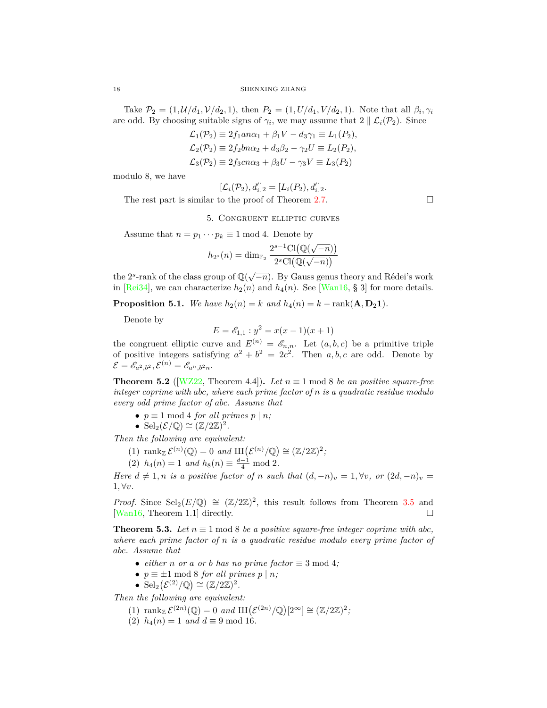Take  $P_2 = (1, \mathcal{U}/d_1, \mathcal{V}/d_2, 1)$ , then  $P_2 = (1, U/d_1, V/d_2, 1)$ . Note that all  $\beta_i, \gamma_i$ are odd. By choosing suitable signs of  $\gamma_i$ , we may assume that  $2 \parallel \mathcal{L}_i(\mathcal{P}_2)$ . Since

$$
\mathcal{L}_1(\mathcal{P}_2) \equiv 2f_1 a n \alpha_1 + \beta_1 V - d_3 \gamma_1 \equiv L_1(P_2),
$$
  
\n
$$
\mathcal{L}_2(\mathcal{P}_2) \equiv 2f_2 b n \alpha_2 + d_3 \beta_2 - \gamma_2 U \equiv L_2(P_2),
$$
  
\n
$$
\mathcal{L}_3(\mathcal{P}_2) \equiv 2f_3 c n \alpha_3 + \beta_3 U - \gamma_3 V \equiv L_3(P_2)
$$

modulo 8, we have

$$
[\mathcal{L}_i(\mathcal{P}_2), d'_i]_2 = [L_i(P_2), d'_i]_2.
$$
  
The rest part is similar to the proof of Theorem 2.7.

5. Congruent elliptic curves

Assume that  $n = p_1 \cdots p_k \equiv 1 \mod 4$ . Denote by

$$
h_{2^s}(n) = \dim_{\mathbb{F}_2} \frac{2^{s-1} \text{Cl}(\mathbb{Q}(\sqrt{-n}))}{2^s \text{Cl}(\mathbb{Q}(\sqrt{-n}))}
$$

the 2<sup>*s*</sup>-rank of the class group of  $\mathbb{Q}(\sqrt{-n})$ . By Gauss genus theory and Rédei's work in [[Rei34](#page-19-5)], we can characterize  $h_2(n)$  and  $h_4(n)$ . See [[Wan16](#page-19-3), § 3] for more details.

<span id="page-17-2"></span>**Proposition 5.1.** *We have*  $h_2(n) = k$  *and*  $h_4(n) = k - \text{rank}(\mathbf{A}, \mathbf{D}_2 \mathbf{1})$ *.* 

Denote by

$$
E = \mathcal{E}_{1,1} : y^2 = x(x-1)(x+1)
$$

the congruent elliptic curve and  $E^{(n)} = \mathscr{E}_{n,n}$ . Let  $(a, b, c)$  be a primitive triple of positive integers satisfying  $a^2 + b^2 = 2c^2$ . Then *a, b, c* are odd. Denote by  $\mathcal{E} = \mathscr{E}_{a^2, b^2}, \mathcal{E}^{(n)} = \mathscr{E}_{a^n, b^2 n}.$ 

<span id="page-17-0"></span>**Theorem 5.2** ( $[WZ22,$  Theorem 4.4)). *Let*  $n \equiv 1 \mod 8$  *be an positive square-free integer coprime with abc, where each prime factor of n is a quadratic residue modulo every odd prime factor of abc. Assume that*

- $p \equiv 1 \mod 4$  *for all primes*  $p | n$ ;
- $\operatorname{Sel}_2(\mathcal{E}/\mathbb{Q}) \cong (\mathbb{Z}/2\mathbb{Z})^2$ .

*Then the following are equivalent:*

- (1)  $\text{rank}_{\mathbb{Z}} \mathcal{E}^{(n)}(\mathbb{Q}) = 0 \text{ and } \text{III}(\mathcal{E}^{(n)}/\mathbb{Q}) \cong (\mathbb{Z}/2\mathbb{Z})^2;$
- (2)  $h_4(n) = 1$  *and*  $h_8(n) \equiv \frac{d-1}{4} \mod 2$ .

*Here*  $d \neq 1, n$  *is a positive factor of n such that*  $(d, -n)_v = 1, \forall v$ *, or*  $(2d, -n)_v =$  $1, \forall v$ .

*Proof.* Since  $\text{Sel}_2(E/\mathbb{Q}) \cong (\mathbb{Z}/2\mathbb{Z})^2$ , this result follows from Theorem [3.5](#page-10-0) and [\[Wan16](#page-19-3), Theorem 1.1] directly.

<span id="page-17-1"></span>**Theorem 5.3.** Let  $n \equiv 1 \mod 8$  be a positive square-free integer coprime with abc, *where each prime factor of n is a quadratic residue modulo every prime factor of abc. Assume that*

- *either n or a or b has no prime factor*  $\equiv$  3 mod 4*;*
- $p \equiv \pm 1 \mod 8$  *for all primes*  $p | n$ ;
- $\text{Sel}_2(\mathcal{E}^{(2)}/\mathbb{Q}) \cong (\mathbb{Z}/2\mathbb{Z})^2$ .

*Then the following are equivalent:*

- (1)  $\text{rank}_{\mathbb{Z}} \mathcal{E}^{(2n)}(\mathbb{Q}) = 0 \text{ and } \text{III}(\mathcal{E}^{(2n)}/\mathbb{Q})[2^{\infty}] \cong (\mathbb{Z}/2\mathbb{Z})^2;$
- (2)  $h_4(n) = 1$  *and*  $d \equiv 9 \text{ mod } 16$ *.*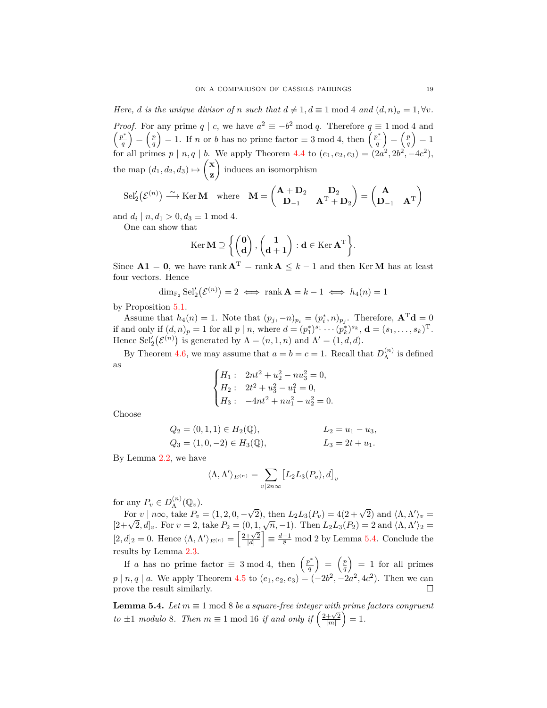*Here, d is the unique divisor of n such that*  $d \neq 1, d \equiv 1 \text{ mod } 4$  *and*  $(d, n)_v = 1, \forall v$ *. Proof.* For any prime *q* | *c*, we have  $a^2 \equiv -b^2 \mod q$ . Therefore  $q \equiv 1 \mod 4$  and *p ∗ q*  $\sum_{q}^{p}$  $= 1$ . If *n* or *b* has no prime factor  $\equiv 3 \mod 4$ , then  $\left(\frac{p^*}{q}\right)$  $=\left(\frac{p}{q}\right)$  $= 1$ for all primes  $p | n, q | b$ . We apply Theorem [4.4](#page-14-0) to  $(e_1, e_2, e_3) = (2a^2, 2b^2, -4c^2)$ , the map  $(d_1, d_2, d_3) \mapsto$  **x z**  $\overline{\phantom{0}}$ induces an isomorphism

$$
\mathrm{Sel}'_2\big(\mathcal{E}^{(n)}\big) \stackrel{\sim}{\longrightarrow} \mathrm{Ker}\,\mathbf{M} \quad \mathrm{where} \quad \mathbf{M} = \begin{pmatrix} \mathbf{A} + \mathbf{D}_2 & \mathbf{D}_2 \\ \mathbf{D}_{-1} & \mathbf{A}^{\mathrm{T}} + \mathbf{D}_2 \end{pmatrix} = \begin{pmatrix} \mathbf{A} \\ \mathbf{D}_{-1} & \mathbf{A}^{\mathrm{T}} \end{pmatrix}
$$

and  $d_i | n, d_1 > 0, d_3 \equiv 1 \text{ mod } 4.$ 

One can show that

$$
\operatorname{Ker} \mathbf{M} \supseteq \left\{ \begin{pmatrix} \mathbf{0} \\ \mathbf{d} \end{pmatrix}, \begin{pmatrix} \mathbf{1} \\ \mathbf{d+1} \end{pmatrix} : \mathbf{d} \in \operatorname{Ker} \mathbf{A}^{\mathrm{T}} \right\}.
$$

Since  $A1 = 0$ , we have rank  $A<sup>T</sup> = \text{rank } A \leq k-1$  and then Ker**M** has at least four vectors. Hence

$$
\dim_{\mathbb{F}_2} \text{Sel}'_2(\mathcal{E}^{(n)}) = 2 \iff \text{rank } \mathbf{A} = k - 1 \iff h_4(n) = 1
$$

by Proposition [5.1.](#page-17-2)

Assume that  $h_4(n) = 1$ . Note that  $(p_j, -n)_{p_i} = (p_i^*, n)_{p_j}$ . Therefore,  $\mathbf{A}^T \mathbf{d} = 0$ if and only if  $(d, n)_p = 1$  for all  $p | n$ , where  $d = (p_1^*)^{s_1} \cdots (p_k^*)^{s_k}$ ,  $\mathbf{d} = (s_1, \ldots, s_k)^{\mathrm{T}}$ . Hence  $\text{Sel}'_2(\mathcal{E}^{(n)})$  is generated by  $\Lambda = (n, 1, n)$  and  $\Lambda' = (1, d, d)$ .

By Theorem [4.6](#page-15-0), we may assume that  $a = b = c = 1$ . Recall that  $D_{\Lambda}^{(n)}$  $\Lambda^{(n)}$  is defined as

$$
\begin{cases} H_1: & 2nt^2 + u_2^2 - nu_3^2 = 0, \\ H_2: & 2t^2 + u_3^2 - u_1^2 = 0, \\ H_3: & -4nt^2 + nu_1^2 - u_2^2 = 0. \end{cases}
$$

Choose

$$
Q_2 = (0, 1, 1) \in H_2(\mathbb{Q}),
$$
  $L_2 = u_1 - u_3,$   
\n $Q_3 = (1, 0, -2) \in H_3(\mathbb{Q}),$   $L_3 = 2t + u_1.$ 

By Lemma [2.2,](#page-3-2) we have

$$
\langle \Lambda, \Lambda' \rangle_{E^{(n)}} = \sum_{v | 2n \infty} [L_2 L_3(P_v), d]_v
$$

for any  $P_v \in D_{\Lambda}^{(n)}$  $\Lambda^{(n)}(\mathbb{Q}_v).$ 

For  $v \mid n\in \mathcal{D}_\Lambda$  ( $\langle \psi_v \rangle$ ).<br>
For  $v \mid n\infty$ , take  $P_v = (1, 2, 0, -\sqrt{2})$ , then  $L_2L_3(P_v) = 4(2+\sqrt{2})$  and  $\langle \Lambda, \Lambda' \rangle_v = [2+\sqrt{2}, d]_v$ . For  $v = 2$ , take  $P_2 = (0, 1, \sqrt{n}, -1)$ . Then  $L_2L_3(P_2) = 2$  and  $\langle \Lambda, \Lambda' \rangle_2 =$  $[2, d]_2 = 0$ . Hence  $\langle \Lambda, \Lambda' \rangle_{E^{(n)}} = \left[ \frac{2 + \sqrt{2}}{|d|} \right]$  $\frac{d-1}{8}$  mod 2 by Lemma [5.4](#page-18-0). Conclude the results by Lemma [2.3](#page-3-3).

If *a* has no prime factor  $\equiv 3 \mod 4$ , then  $\left(\frac{p^*}{q}\right)$  $\left(\frac{p}{q}\right) = \left(\frac{p}{q}\right)$  $= 1$  for all primes  $p | n, q | a$ . We apply Theorem [4.5](#page-15-1) to  $(e_1, e_2, e_3) = (-2b^2, -2a^2, 4c^2)$ . Then we can prove the result similarly.  $\Box$ 

<span id="page-18-0"></span>**Lemma 5.4.** *Let*  $m \equiv 1 \mod 8$  *be a square-free integer with prime factors congruent to*  $\pm 1$  *modulo* 8*. Then*  $m \equiv 1$  mod 16 *if and only if*  $\left(\frac{2+\sqrt{2}}{|m|}\right)$  $i) = 1.$